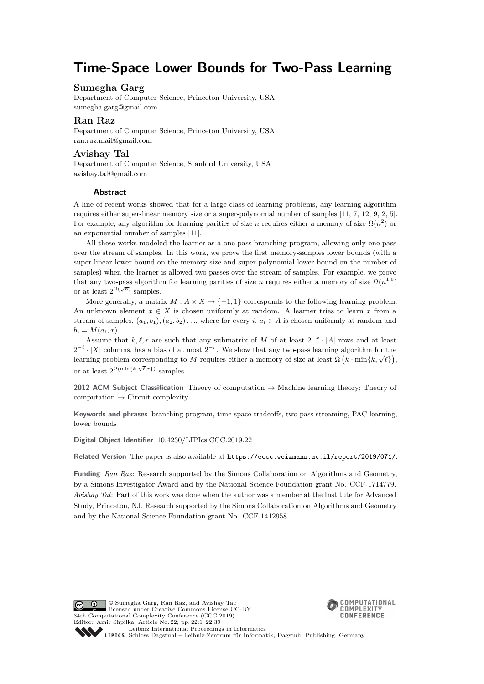## **Time-Space Lower Bounds for Two-Pass Learning**

### **Sumegha Garg**

Department of Computer Science, Princeton University, USA [sumegha.garg@gmail.com](mailto:sumegha.garg@gmail.com)

### **Ran Raz**

Department of Computer Science, Princeton University, USA [ran.raz.mail@gmail.com](mailto:ran.raz.mail@gmail.com)

#### **Avishay Tal**

Department of Computer Science, Stanford University, USA [avishay.tal@gmail.com](mailto:avishay.tal@gmail.com)

#### **Abstract**

A line of recent works showed that for a large class of learning problems, any learning algorithm requires either super-linear memory size or a super-polynomial number of samples [\[11,](#page-34-0) [7,](#page-34-1) [12,](#page-34-2) [9,](#page-34-3) [2,](#page-34-4) [5\]](#page-34-5). For example, any algorithm for learning parities of size *n* requires either a memory of size  $\Omega(n^2)$  or an exponential number of samples [\[11\]](#page-34-0).

All these works modeled the learner as a one-pass branching program, allowing only one pass over the stream of samples. In this work, we prove the first memory-samples lower bounds (with a super-linear lower bound on the memory size and super-polynomial lower bound on the number of samples) when the learner is allowed two passes over the stream of samples. For example, we prove that any two-pass algorithm for learning parities of size *n* requires either a memory of size  $\Omega(n^{1.5})$ or at least  $2^{\Omega(\sqrt{n})}$  samples.

More generally, a matrix  $M : A \times X \to \{-1, 1\}$  corresponds to the following learning problem: An unknown element  $x \in X$  is chosen uniformly at random. A learner tries to learn x from a stream of samples,  $(a_1, b_1), (a_2, b_2), \ldots$ , where for every *i*,  $a_i \in A$  is chosen uniformly at random and  $b_i = M(a_i, x)$ .

Assume that  $k, \ell, r$  are such that any submatrix of *M* of at least  $2^{-k} \cdot |A|$  rows and at least  $2^{-\ell} \cdot |X|$  columns, has a bias of at most  $2^{-r}$ . We show that any two-pass learning algorithm for the  $\mathcal{L} \rightarrow |\mathcal{A}|$  columns, has a blas of at most  $\mathcal{L}$ . We show that any two-pass rearning algorithm for the learning problem corresponding to *M* requires either a memory of size at least  $\Omega(k \cdot \min\{k, \sqrt{\ell}\})$ , or at least  $2^{\Omega(\min\{k,\sqrt{\ell},r\})}$  samples.

**2012 ACM Subject Classification** Theory of computation → Machine learning theory; Theory of  $computation \rightarrow Circuit \text{ complexity}$ 

**Keywords and phrases** branching program, time-space tradeoffs, two-pass streaming, PAC learning, lower bounds

**Digital Object Identifier** [10.4230/LIPIcs.CCC.2019.22](https://doi.org/10.4230/LIPIcs.CCC.2019.22)

**Related Version** The paper is also available at <https://eccc.weizmann.ac.il/report/2019/071/>.

**Funding** *Ran Raz*: Research supported by the Simons Collaboration on Algorithms and Geometry, by a Simons Investigator Award and by the National Science Foundation grant No. CCF-1714779. *Avishay Tal*: Part of this work was done when the author was a member at the Institute for Advanced Study, Princeton, NJ. Research supported by the Simons Collaboration on Algorithms and Geometry and by the National Science Foundation grant No. CCF-1412958.





[Schloss Dagstuhl – Leibniz-Zentrum für Informatik, Dagstuhl Publishing, Germany](https://www.dagstuhl.de)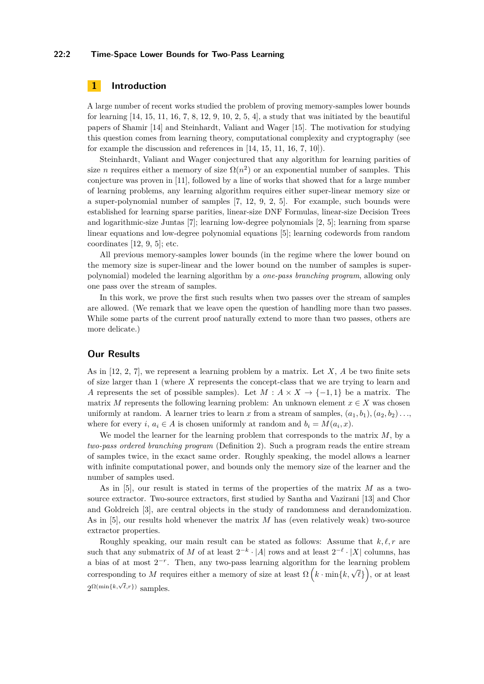#### **22:2 Time-Space Lower Bounds for Two-Pass Learning**

### **1 Introduction**

A large number of recent works studied the problem of proving memory-samples lower bounds for learning  $[14, 15, 11, 16, 7, 8, 12, 9, 10, 2, 5, 4]$  $[14, 15, 11, 16, 7, 8, 12, 9, 10, 2, 5, 4]$  $[14, 15, 11, 16, 7, 8, 12, 9, 10, 2, 5, 4]$  $[14, 15, 11, 16, 7, 8, 12, 9, 10, 2, 5, 4]$  $[14, 15, 11, 16, 7, 8, 12, 9, 10, 2, 5, 4]$  $[14, 15, 11, 16, 7, 8, 12, 9, 10, 2, 5, 4]$  $[14, 15, 11, 16, 7, 8, 12, 9, 10, 2, 5, 4]$  $[14, 15, 11, 16, 7, 8, 12, 9, 10, 2, 5, 4]$  $[14, 15, 11, 16, 7, 8, 12, 9, 10, 2, 5, 4]$  $[14, 15, 11, 16, 7, 8, 12, 9, 10, 2, 5, 4]$  $[14, 15, 11, 16, 7, 8, 12, 9, 10, 2, 5, 4]$  $[14, 15, 11, 16, 7, 8, 12, 9, 10, 2, 5, 4]$  $[14, 15, 11, 16, 7, 8, 12, 9, 10, 2, 5, 4]$  $[14, 15, 11, 16, 7, 8, 12, 9, 10, 2, 5, 4]$  $[14, 15, 11, 16, 7, 8, 12, 9, 10, 2, 5, 4]$  $[14, 15, 11, 16, 7, 8, 12, 9, 10, 2, 5, 4]$  $[14, 15, 11, 16, 7, 8, 12, 9, 10, 2, 5, 4]$  $[14, 15, 11, 16, 7, 8, 12, 9, 10, 2, 5, 4]$  $[14, 15, 11, 16, 7, 8, 12, 9, 10, 2, 5, 4]$  $[14, 15, 11, 16, 7, 8, 12, 9, 10, 2, 5, 4]$  $[14, 15, 11, 16, 7, 8, 12, 9, 10, 2, 5, 4]$  $[14, 15, 11, 16, 7, 8, 12, 9, 10, 2, 5, 4]$  $[14, 15, 11, 16, 7, 8, 12, 9, 10, 2, 5, 4]$ , a study that was initiated by the beautiful papers of Shamir [\[14\]](#page-34-6) and Steinhardt, Valiant and Wager [\[15\]](#page-34-7). The motivation for studying this question comes from learning theory, computational complexity and cryptography (see for example the discussion and references in [\[14,](#page-34-6) [15,](#page-34-7) [11,](#page-34-0) [16,](#page-34-8) [7,](#page-34-1) [10\]](#page-34-10)).

Steinhardt, Valiant and Wager conjectured that any algorithm for learning parities of size *n* requires either a memory of size  $\Omega(n^2)$  or an exponential number of samples. This conjecture was proven in [\[11\]](#page-34-0), followed by a line of works that showed that for a large number of learning problems, any learning algorithm requires either super-linear memory size or a super-polynomial number of samples [\[7,](#page-34-1) [12,](#page-34-2) [9,](#page-34-3) [2,](#page-34-4) [5\]](#page-34-5). For example, such bounds were established for learning sparse parities, linear-size DNF Formulas, linear-size Decision Trees and logarithmic-size Juntas [\[7\]](#page-34-1); learning low-degree polynomials [\[2,](#page-34-4) [5\]](#page-34-5); learning from sparse linear equations and low-degree polynomial equations [\[5\]](#page-34-5); learning codewords from random coordinates [\[12,](#page-34-2) [9,](#page-34-3) [5\]](#page-34-5); etc.

All previous memory-samples lower bounds (in the regime where the lower bound on the memory size is super-linear and the lower bound on the number of samples is superpolynomial) modeled the learning algorithm by a *one-pass branching program*, allowing only one pass over the stream of samples.

In this work, we prove the first such results when two passes over the stream of samples are allowed. (We remark that we leave open the question of handling more than two passes. While some parts of the current proof naturally extend to more than two passes, others are more delicate.)

### **Our Results**

As in [\[12,](#page-34-2) [2,](#page-34-4) [7\]](#page-34-1), we represent a learning problem by a matrix. Let *X*, *A* be two finite sets of size larger than 1 (where *X* represents the concept-class that we are trying to learn and *A* represents the set of possible samples). Let  $M: A \times X \rightarrow \{-1, 1\}$  be a matrix. The matrix *M* represents the following learning problem: An unknown element  $x \in X$  was chosen uniformly at random. A learner tries to learn x from a stream of samples,  $(a_1, b_1), (a_2, b_2), \ldots$ where for every *i*,  $a_i \in A$  is chosen uniformly at random and  $b_i = M(a_i, x)$ .

We model the learner for the learning problem that corresponds to the matrix *M*, by a *two-pass ordered branching program* (Definition [2\)](#page-5-0). Such a program reads the entire stream of samples twice, in the exact same order. Roughly speaking, the model allows a learner with infinite computational power, and bounds only the memory size of the learner and the number of samples used.

As in [\[5\]](#page-34-5), our result is stated in terms of the properties of the matrix *M* as a twosource extractor. Two-source extractors, first studied by Santha and Vazirani [\[13\]](#page-34-12) and Chor and Goldreich [\[3\]](#page-34-13), are central objects in the study of randomness and derandomization. As in [\[5\]](#page-34-5), our results hold whenever the matrix *M* has (even relatively weak) two-source extractor properties.

Roughly speaking, our main result can be stated as follows: Assume that  $k, \ell, r$  are such that any submatrix of *M* of at least  $2^{-k} \cdot |A|$  rows and at least  $2^{-\ell} \cdot |X|$  columns, has a bias of at most  $2^{-r}$ . Then, any two-pass learning algorithm for the learning problem corresponding to *M* requires either a memory of size at least  $\Omega\left(k \cdot \min\{k, \sqrt{\ell}\}\right)$ , or at least  $2^{\Omega(\min\{k,\sqrt{\ell},r\})}$  samples.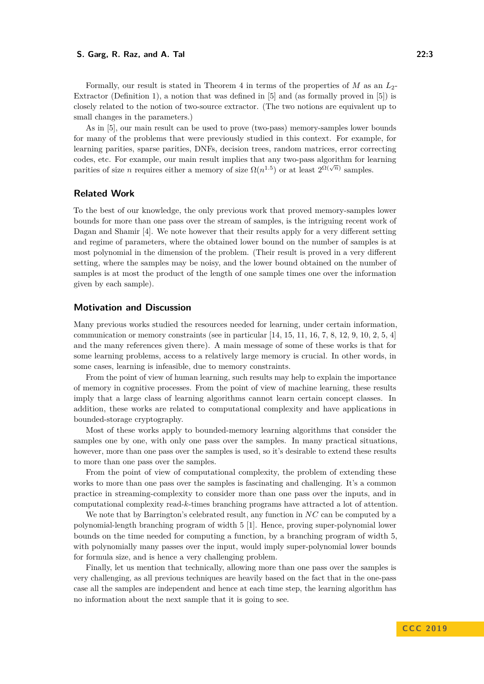closely related to the notion of two-source extractor. (The two notions are equivalent up to small changes in the parameters.) As in [\[5\]](#page-34-5), our main result can be used to prove (two-pass) memory-samples lower bounds

for many of the problems that were previously studied in this context. For example, for learning parities, sparse parities, DNFs, decision trees, random matrices, error correcting codes, etc. For example, our main result implies that any two-pass algorithm for learning parities of size *n* requires either a memory of size  $\Omega(n^{1.5})$  or at least  $2^{\Omega(\sqrt{n})}$  samples.

#### **Related Work**

To the best of our knowledge, the only previous work that proved memory-samples lower bounds for more than one pass over the stream of samples, is the intriguing recent work of Dagan and Shamir [\[4\]](#page-34-11). We note however that their results apply for a very different setting and regime of parameters, where the obtained lower bound on the number of samples is at most polynomial in the dimension of the problem. (Their result is proved in a very different setting, where the samples may be noisy, and the lower bound obtained on the number of samples is at most the product of the length of one sample times one over the information given by each sample).

#### **Motivation and Discussion**

Many previous works studied the resources needed for learning, under certain information, communication or memory constraints (see in particular  $[14, 15, 11, 16, 7, 8, 12, 9, 10, 2, 5, 4]$  $[14, 15, 11, 16, 7, 8, 12, 9, 10, 2, 5, 4]$  $[14, 15, 11, 16, 7, 8, 12, 9, 10, 2, 5, 4]$  $[14, 15, 11, 16, 7, 8, 12, 9, 10, 2, 5, 4]$  $[14, 15, 11, 16, 7, 8, 12, 9, 10, 2, 5, 4]$  $[14, 15, 11, 16, 7, 8, 12, 9, 10, 2, 5, 4]$  $[14, 15, 11, 16, 7, 8, 12, 9, 10, 2, 5, 4]$  $[14, 15, 11, 16, 7, 8, 12, 9, 10, 2, 5, 4]$  $[14, 15, 11, 16, 7, 8, 12, 9, 10, 2, 5, 4]$  $[14, 15, 11, 16, 7, 8, 12, 9, 10, 2, 5, 4]$  $[14, 15, 11, 16, 7, 8, 12, 9, 10, 2, 5, 4]$  $[14, 15, 11, 16, 7, 8, 12, 9, 10, 2, 5, 4]$  $[14, 15, 11, 16, 7, 8, 12, 9, 10, 2, 5, 4]$  $[14, 15, 11, 16, 7, 8, 12, 9, 10, 2, 5, 4]$  $[14, 15, 11, 16, 7, 8, 12, 9, 10, 2, 5, 4]$  $[14, 15, 11, 16, 7, 8, 12, 9, 10, 2, 5, 4]$  $[14, 15, 11, 16, 7, 8, 12, 9, 10, 2, 5, 4]$  $[14, 15, 11, 16, 7, 8, 12, 9, 10, 2, 5, 4]$  $[14, 15, 11, 16, 7, 8, 12, 9, 10, 2, 5, 4]$  $[14, 15, 11, 16, 7, 8, 12, 9, 10, 2, 5, 4]$  $[14, 15, 11, 16, 7, 8, 12, 9, 10, 2, 5, 4]$  $[14, 15, 11, 16, 7, 8, 12, 9, 10, 2, 5, 4]$  $[14, 15, 11, 16, 7, 8, 12, 9, 10, 2, 5, 4]$ and the many references given there). A main message of some of these works is that for some learning problems, access to a relatively large memory is crucial. In other words, in some cases, learning is infeasible, due to memory constraints.

From the point of view of human learning, such results may help to explain the importance of memory in cognitive processes. From the point of view of machine learning, these results imply that a large class of learning algorithms cannot learn certain concept classes. In addition, these works are related to computational complexity and have applications in bounded-storage cryptography.

Most of these works apply to bounded-memory learning algorithms that consider the samples one by one, with only one pass over the samples. In many practical situations, however, more than one pass over the samples is used, so it's desirable to extend these results to more than one pass over the samples.

From the point of view of computational complexity, the problem of extending these works to more than one pass over the samples is fascinating and challenging. It's a common practice in streaming-complexity to consider more than one pass over the inputs, and in computational complexity read-*k*-times branching programs have attracted a lot of attention.

We note that by Barrington's celebrated result, any function in *NC* can be computed by a polynomial-length branching program of width 5 [\[1\]](#page-34-14). Hence, proving super-polynomial lower bounds on the time needed for computing a function, by a branching program of width 5, with polynomially many passes over the input, would imply super-polynomial lower bounds for formula size, and is hence a very challenging problem.

Finally, let us mention that technically, allowing more than one pass over the samples is very challenging, as all previous techniques are heavily based on the fact that in the one-pass case all the samples are independent and hence at each time step, the learning algorithm has no information about the next sample that it is going to see.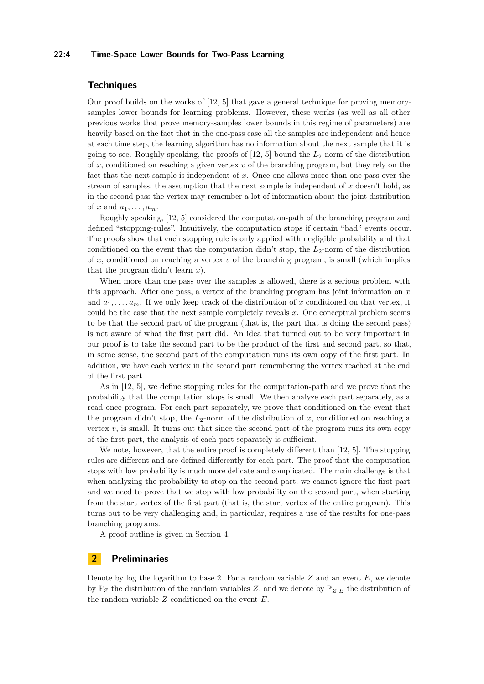#### **22:4 Time-Space Lower Bounds for Two-Pass Learning**

### **Techniques**

Our proof builds on the works of [\[12,](#page-34-2) [5\]](#page-34-5) that gave a general technique for proving memorysamples lower bounds for learning problems. However, these works (as well as all other previous works that prove memory-samples lower bounds in this regime of parameters) are heavily based on the fact that in the one-pass case all the samples are independent and hence at each time step, the learning algorithm has no information about the next sample that it is going to see. Roughly speaking, the proofs of [\[12,](#page-34-2) [5\]](#page-34-5) bound the *L*2-norm of the distribution of *x*, conditioned on reaching a given vertex *v* of the branching program, but they rely on the fact that the next sample is independent of *x*. Once one allows more than one pass over the stream of samples, the assumption that the next sample is independent of *x* doesn't hold, as in the second pass the vertex may remember a lot of information about the joint distribution of x and  $a_1, \ldots, a_m$ .

Roughly speaking, [\[12,](#page-34-2) [5\]](#page-34-5) considered the computation-path of the branching program and defined "stopping-rules". Intuitively, the computation stops if certain "bad" events occur. The proofs show that each stopping rule is only applied with negligible probability and that conditioned on the event that the computation didn't stop, the  $L_2$ -norm of the distribution of *x*, conditioned on reaching a vertex *v* of the branching program, is small (which implies that the program didn't learn *x*).

When more than one pass over the samples is allowed, there is a serious problem with this approach. After one pass, a vertex of the branching program has joint information on *x* and  $a_1, \ldots, a_m$ . If we only keep track of the distribution of x conditioned on that vertex, it could be the case that the next sample completely reveals *x*. One conceptual problem seems to be that the second part of the program (that is, the part that is doing the second pass) is not aware of what the first part did. An idea that turned out to be very important in our proof is to take the second part to be the product of the first and second part, so that, in some sense, the second part of the computation runs its own copy of the first part. In addition, we have each vertex in the second part remembering the vertex reached at the end of the first part.

As in [\[12,](#page-34-2) [5\]](#page-34-5), we define stopping rules for the computation-path and we prove that the probability that the computation stops is small. We then analyze each part separately, as a read once program. For each part separately, we prove that conditioned on the event that the program didn't stop, the *L*2-norm of the distribution of *x*, conditioned on reaching a vertex  $v$ , is small. It turns out that since the second part of the program runs its own copy of the first part, the analysis of each part separately is sufficient.

We note, however, that the entire proof is completely different than [\[12,](#page-34-2) [5\]](#page-34-5). The stopping rules are different and are defined differently for each part. The proof that the computation stops with low probability is much more delicate and complicated. The main challenge is that when analyzing the probability to stop on the second part, we cannot ignore the first part and we need to prove that we stop with low probability on the second part, when starting from the start vertex of the first part (that is, the start vertex of the entire program). This turns out to be very challenging and, in particular, requires a use of the results for one-pass branching programs.

A proof outline is given in Section [4.](#page-7-0)

### **2 Preliminaries**

Denote by log the logarithm to base 2. For a random variable *Z* and an event *E*, we denote by  $\mathbb{P}_Z$  the distribution of the random variables Z, and we denote by  $\mathbb{P}_{Z|E}$  the distribution of the random variable *Z* conditioned on the event *E*.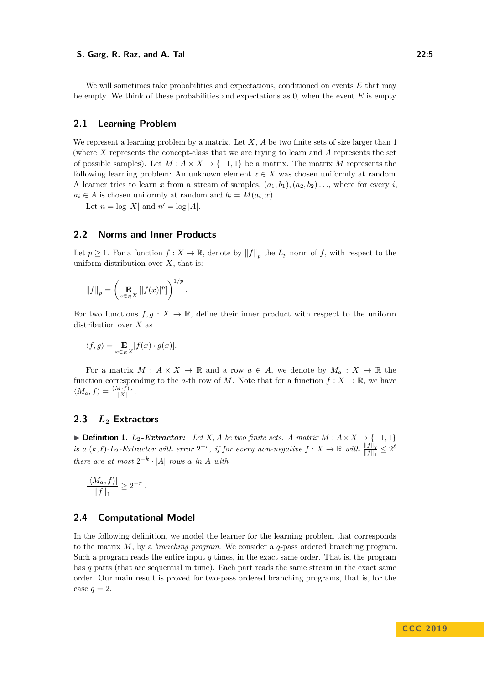We will sometimes take probabilities and expectations, conditioned on events *E* that may be empty. We think of these probabilities and expectations as 0, when the event *E* is empty.

#### **2.1 Learning Problem**

We represent a learning problem by a matrix. Let *X*, *A* be two finite sets of size larger than 1 (where *X* represents the concept-class that we are trying to learn and *A* represents the set of possible samples). Let  $M : A \times X \to \{-1,1\}$  be a matrix. The matrix M represents the following learning problem: An unknown element  $x \in X$  was chosen uniformly at random. A learner tries to learn *x* from a stream of samples,  $(a_1, b_1), (a_2, b_2) \ldots$ , where for every *i*,  $a_i \in A$  is chosen uniformly at random and  $b_i = M(a_i, x)$ .

Let  $n = \log |X|$  and  $n' = \log |A|$ .

#### **2.2 Norms and Inner Products**

Let  $p \geq 1$ . For a function  $f: X \to \mathbb{R}$ , denote by  $||f||_p$  the  $L_p$  norm of  $f$ , with respect to the uniform distribution over *X*, that is:

$$
||f||_p = \left(\mathop{\mathbf{E}}_{x \in_R X} |[f(x)|^p]\right)^{1/p}.
$$

For two functions  $f, g: X \to \mathbb{R}$ , define their inner product with respect to the uniform distribution over *X* as

$$
\langle f, g \rangle = \mathop{\mathbf{E}}_{x \in_R X} [f(x) \cdot g(x)].
$$

For a matrix  $M: A \times X \to \mathbb{R}$  and a row  $a \in A$ , we denote by  $M_a: X \to \mathbb{R}$  the function corresponding to the *a*-th row of *M*. Note that for a function  $f: X \to \mathbb{R}$ , we have  $\langle M_a, f \rangle = \frac{(M \cdot f)_a}{|X|}.$ 

### **2.3** *L***2-Extractors**

<span id="page-4-0"></span>**► Definition 1.**  $L_2$ -Extractor: Let  $X$ , A be two finite sets. A matrix  $M : A \times X \rightarrow \{-1, 1\}$ *is a*  $(k, \ell)$ - $L_2$ -Extractor with error  $2^{-r}$ , if for every non-negative  $f: X \to \mathbb{R}$  with  $\frac{||f||_2}{||f||_1} \leq 2^{\ell}$ *there are at most*  $2^{-k} \cdot |A|$  *rows a in A with* 

$$
\frac{|\langle M_a, f \rangle|}{\|f\|_1} \ge 2^{-r} .
$$

#### **2.4 Computational Model**

In the following definition, we model the learner for the learning problem that corresponds to the matrix *M*, by a *branching program*. We consider a *q*-pass ordered branching program. Such a program reads the entire input *q* times, in the exact same order. That is, the program has *q* parts (that are sequential in time). Each part reads the same stream in the exact same order. Our main result is proved for two-pass ordered branching programs, that is, for the case  $q=2$ .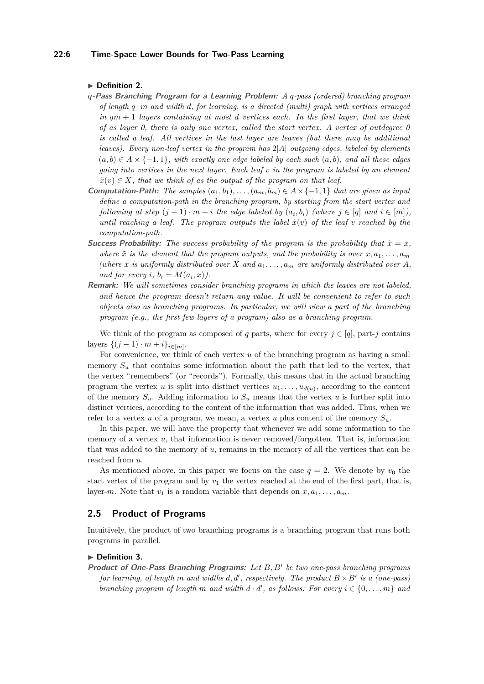#### **22:6 Time-Space Lower Bounds for Two-Pass Learning**

#### <span id="page-5-0"></span>▶ Definition 2.

- *q***-Pass Branching Program for a Learning Problem:** *A q-pass (ordered) branching program of length q* · *m and width d, for learning, is a directed (multi) graph with vertices arranged in qm* + 1 *layers containing at most d vertices each. In the first layer, that we think of as layer 0, there is only one vertex, called the start vertex. A vertex of outdegree 0 is called a leaf. All vertices in the last layer are leaves (but there may be additional leaves). Every non-leaf vertex in the program has* 2|*A*| *outgoing edges, labeled by elements*  $(a, b) \in A \times \{-1, 1\}$ *, with exactly one edge labeled by each such*  $(a, b)$ *, and all these edges going into vertices in the next layer. Each leaf v in the program is labeled by an element*  $\tilde{x}(v) \in X$ , that we think of as the output of the program on that leaf.
- **Computation-Path:** The samples  $(a_1, b_1), \ldots, (a_m, b_m) \in A \times \{-1, 1\}$  that are given as input *define a computation-path in the branching program, by starting from the start vertex and following at step*  $(j - 1) \cdot m + i$  *the edge labeled by*  $(a_i, b_i)$  *(where*  $j \in [q]$  *and*  $i \in [m]$ *)*, *until reaching a leaf. The program outputs the label*  $\tilde{x}(v)$  *of the leaf v reached by the computation-path.*
- **Success Probability:** The success probability of the program is the probability that  $\tilde{x} = x$ , where  $\tilde{x}$  is the element that the program outputs, and the probability is over  $x, a_1, \ldots, a_m$ *(where x is uniformly distributed over X and*  $a_1, \ldots, a_m$  *are uniformly distributed over A*, *and for every*  $i, b_i = M(a_i, x)$ .
- **Remark:** *We will sometimes consider branching programs in which the leaves are not labeled, and hence the program doesn't return any value. It will be convenient to refer to such objects also as branching programs. In particular, we will view a part of the branching program (e.g., the first few layers of a program) also as a branching program.*

We think of the program as composed of *q* parts, where for every  $j \in [q]$ , part-*j* contains  $\text{layers } \{(j-1) \cdot m + i\}_{i \in [m]}.$ 

For convenience, we think of each vertex *u* of the branching program as having a small memory  $S_u$  that contains some information about the path that led to the vertex, that the vertex "remembers" (or "records"). Formally, this means that in the actual branching program the vertex *u* is split into distinct vertices  $u_1, \ldots, u_{d(u)}$ , according to the content of the memory  $S_u$ . Adding information to  $S_u$  means that the vertex *u* is further split into distinct vertices, according to the content of the information that was added. Thus, when we refer to a vertex *u* of a program, we mean, a vertex *u* plus content of the memory  $S_u$ .

In this paper, we will have the property that whenever we add some information to the memory of a vertex *u*, that information is never removed/forgotten. That is, information that was added to the memory of *u*, remains in the memory of all the vertices that can be reached from *u*.

As mentioned above, in this paper we focus on the case  $q = 2$ . We denote by  $v_0$  the start vertex of the program and by  $v_1$  the vertex reached at the end of the first part, that is, layer-*m*. Note that  $v_1$  is a random variable that depends on  $x, a_1, \ldots, a_m$ .

### **2.5 Product of Programs**

Intuitively, the product of two branching programs is a branching program that runs both programs in parallel.

#### ▶ Definition 3.

**Product of One-Pass Branching Programs:** Let B, B' be two one-pass branching programs *for learning, of length*  $m$  *and widths*  $d, d'$ , respectively. The product  $B \times B'$  *is a (one-pass) branching program of length m and* width  $d \cdot d'$ , *as follows: For every*  $i \in \{0, \ldots, m\}$  *and*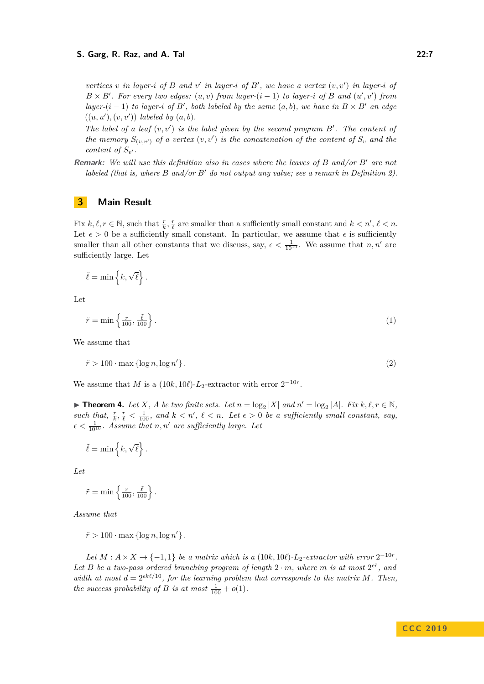*vertices*  $v$  *in layer-i of*  $B$  *and*  $v'$  *in layer-i of*  $B'$ , *we have a vertex*  $(v, v')$  *in layer-i of*  $B \times B'$ . For every two edges:  $(u, v)$  from layer- $(i - 1)$  to layer-*i* of *B* and  $(u', v')$  from *layer-*( $i - 1$ ) *to layer-i of*  $B'$ , *both labeled by the same*  $(a, b)$ *, we have in*  $B \times B'$  *an edge*  $((u, u'), (v, v'))$  *labeled by*  $(a, b)$ *.* 

*The label of a leaf*  $(v, v')$  *is the label given by the second program B'. The content of the memory*  $S_{(v,v')}$  *of a vertex*  $(v, v')$  *is the concatenation of the content of*  $S_v$  *and the content of*  $S_{v'}$ .

**Remark:** *We will use this definition also in cases where the leaves of B and/or B*<sup>0</sup> *are not labeled (that is, where B and/or B' do not output any value; see a remark in Definition [2\)](#page-5-0).* 

### **3 Main Result**

Fix  $k, \ell, r \in \mathbb{N}$ , such that  $\frac{r}{k}, \frac{r}{\ell}$  are smaller than a sufficiently small constant and  $k < n', \ell < n$ . Let  $\epsilon > 0$  be a sufficiently small constant. In particular, we assume that  $\epsilon$  is sufficiently smaller than all other constants that we discuss, say,  $\epsilon < \frac{1}{10^{10}}$ . We assume that *n, n'* are sufficiently large. Let

$$
\tilde{\ell} = \min\left\{k, \sqrt{\ell}\right\}.
$$

<span id="page-6-1"></span>Let

<span id="page-6-2"></span>
$$
\tilde{r} = \min\left\{\frac{r}{100}, \frac{\tilde{\ell}}{100}\right\}.
$$
\n(1)

We assume that

$$
\tilde{r} > 100 \cdot \max\left\{\log n, \log n'\right\}.\tag{2}
$$

<span id="page-6-0"></span>We assume that *M* is a  $(10k, 10\ell)$ -*L*<sub>2</sub>-extractor with error  $2^{-10r}$ .

▶ **Theorem 4.** Let *X*, *A* be two finite sets. Let  $n = \log_2 |X|$  and  $n' = \log_2 |A|$ *. Fix*  $k, \ell, r \in \mathbb{N}$ , such that,  $\frac{r}{k}, \frac{r}{\ell} < \frac{1}{100}$ , and  $k < n'$ ,  $\ell < n$ . Let  $\epsilon > 0$  be a sufficiently small constant, say,  $\epsilon < \frac{1}{10^{10}}$ . Assume that *n*, *n'* are sufficiently large. Let

$$
\tilde{\ell} = \min\left\{k, \sqrt{\ell}\right\}.
$$

*Let*

$$
\tilde{r} = \min\left\{\frac{r}{100}, \frac{\tilde{\ell}}{100}\right\}.
$$

*Assume that*

 $\tilde{r} > 100 \cdot \max \{ \log n, \log n' \}.$ 

*Let*  $M : A \times X \rightarrow \{-1, 1\}$  *be a matrix which is a* (10*k,* 10*ℓ*)*-L*<sub>2</sub>*-extractor with error*  $2^{-10r}$ *. Let B be a two-pass ordered branching program of length*  $2 \cdot m$ *, where m is at most*  $2^{\epsilon \tilde{r}}$ *, and width at most*  $d = 2^{ek\tilde{\ell}/10}$ , for the learning problem that corresponds to the matrix M. Then, *the success probability of B is at most*  $\frac{1}{100} + o(1)$ *.*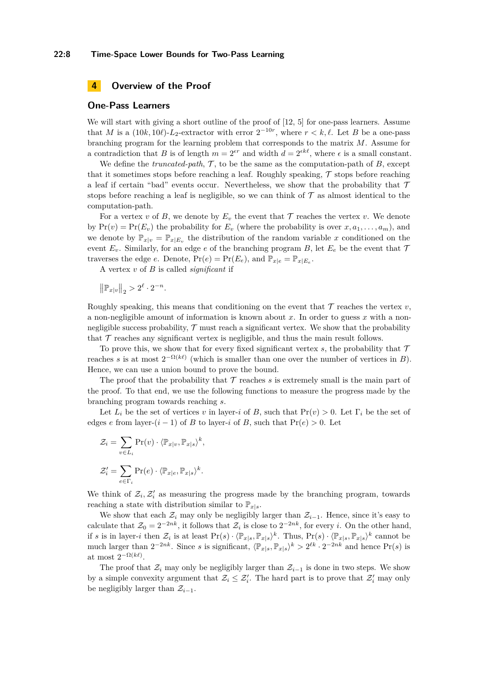#### **22:8 Time-Space Lower Bounds for Two-Pass Learning**

### <span id="page-7-0"></span>**4 Overview of the Proof**

#### **One-Pass Learners**

We will start with giving a short outline of the proof of [\[12,](#page-34-2) [5\]](#page-34-5) for one-pass learners. Assume that *M* is a  $(10k, 10l)$ -*L*<sub>2</sub>-extractor with error  $2^{-10r}$ , where  $r < k, l$ . Let *B* be a one-pass branching program for the learning problem that corresponds to the matrix *M*. Assume for a contradiction that *B* is of length  $m = 2^{\epsilon r}$  and width  $d = 2^{\epsilon k \ell}$ , where  $\epsilon$  is a small constant.

We define the *truncated-path*,  $\mathcal{T}$ , to be the same as the computation-path of  $B$ , except that it sometimes stops before reaching a leaf. Roughly speaking,  $\mathcal T$  stops before reaching a leaf if certain "bad" events occur. Nevertheless, we show that the probability that  $\mathcal T$ stops before reaching a leaf is negligible, so we can think of  $\mathcal T$  as almost identical to the computation-path.

For a vertex *v* of *B*, we denote by  $E_v$  the event that  $\mathcal T$  reaches the vertex *v*. We denote by  $Pr(v) = Pr(E_v)$  the probability for  $E_v$  (where the probability is over  $x, a_1, \ldots, a_m$ ), and we denote by  $\mathbb{P}_{x|v} = \mathbb{P}_{x|E_v}$  the distribution of the random variable *x* conditioned on the event  $E_v$ . Similarly, for an edge *e* of the branching program *B*, let  $E_e$  be the event that  $\mathcal T$ traverses the edge *e*. Denote,  $Pr(e) = Pr(E_e)$ , and  $\mathbb{P}_{x|e} = \mathbb{P}_{x|E_e}$ .

A vertex *v* of *B* is called *significant* if

 $\left\| \mathbb{P}_{x|v} \right\|_2 > 2^{\ell} \cdot 2^{-n}.$ 

Roughly speaking, this means that conditioning on the event that  $\mathcal T$  reaches the vertex  $v$ , a non-negligible amount of information is known about *x*. In order to guess *x* with a nonnegligible success probability,  $\mathcal T$  must reach a significant vertex. We show that the probability that  $\mathcal T$  reaches any significant vertex is negligible, and thus the main result follows.

To prove this, we show that for every fixed significant vertex  $s$ , the probability that  $\mathcal T$ reaches *s* is at most  $2^{-\Omega(k\ell)}$  (which is smaller than one over the number of vertices in *B*). Hence, we can use a union bound to prove the bound.

The proof that the probability that  $\mathcal T$  reaches  $s$  is extremely small is the main part of the proof. To that end, we use the following functions to measure the progress made by the branching program towards reaching *s*.

Let  $L_i$  be the set of vertices *v* in layer-*i* of *B*, such that  $Pr(v) > 0$ . Let  $\Gamma_i$  be the set of edges *e* from layer- $(i - 1)$  of *B* to layer-*i* of *B*, such that  $Pr(e) > 0$ . Let

$$
\mathcal{Z}_i = \sum_{v \in L_i} \Pr(v) \cdot \langle \mathbb{P}_{x|v}, \mathbb{P}_{x|s} \rangle^k,
$$
  

$$
\mathcal{Z}'_i = \sum_{e \in \Gamma_i} \Pr(e) \cdot \langle \mathbb{P}_{x|e}, \mathbb{P}_{x|s} \rangle^k.
$$

We think of  $\mathcal{Z}_i$ ,  $\mathcal{Z}'_i$  as measuring the progress made by the branching program, towards reaching a state with distribution similar to  $\mathbb{P}_{x|s}$ .

We show that each  $\mathcal{Z}_i$  may only be negligibly larger than  $\mathcal{Z}_{i-1}$ . Hence, since it's easy to calculate that  $\mathcal{Z}_0 = 2^{-2nk}$ , it follows that  $\mathcal{Z}_i$  is close to  $2^{-2nk}$ , for every *i*. On the other hand, if *s* is in layer-*i* then  $\mathcal{Z}_i$  is at least  $\Pr(s) \cdot \langle \mathbb{P}_{x|s}, \mathbb{P}_{x|s} \rangle^k$ . Thus,  $\Pr(s) \cdot \langle \mathbb{P}_{x|s}, \mathbb{P}_{x|s} \rangle^k$  cannot be much larger than  $2^{-2nk}$ . Since *s* is significant,  $\langle \mathbb{P}_{x|s}, \mathbb{P}_{x|s} \rangle^k > 2^{\ell k} \cdot 2^{-2nk}$  and hence  $\Pr(s)$  is at most  $2^{-\Omega(k\ell)}$ .

The proof that  $\mathcal{Z}_i$  may only be negligibly larger than  $\mathcal{Z}_{i-1}$  is done in two steps. We show by a simple convexity argument that  $\mathcal{Z}_i \leq \mathcal{Z}'_i$ . The hard part is to prove that  $\mathcal{Z}'_i$  may only be negligibly larger than  $\mathcal{Z}_{i-1}$ .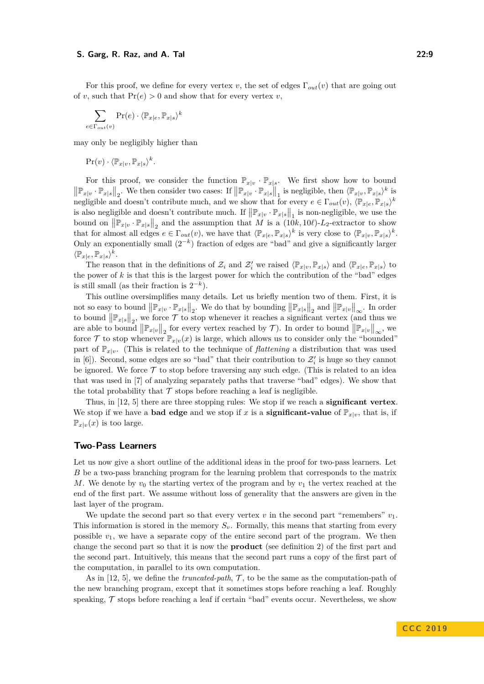For this proof, we define for every vertex *v*, the set of edges Γ*out*(*v*) that are going out of *v*, such that  $Pr(e) > 0$  and show that for every vertex *v*,

$$
\sum_{e \in \Gamma_{out}(v)} \Pr(e) \cdot \langle \mathbb{P}_{x|e}, \mathbb{P}_{x|s} \rangle^k
$$

may only be negligibly higher than

 $\Pr(v) \cdot \langle \mathbb{P}_{x|v}, \mathbb{P}_{x|s} \rangle^k$ .

For this proof, we consider the function  $\mathbb{P}_{x|y} \cdot \mathbb{P}_{x|s}$ . We first show how to bound  $\left\|\mathbb{P}_{x|v} \cdot \mathbb{P}_{x|s}\right\|_2$ . We then consider two cases: If  $\left\|\mathbb{P}_{x|v} \cdot \mathbb{P}_{x|s}\right\|_1$  is negligible, then  $\langle \mathbb{P}_{x|v}, \mathbb{P}_{x|s} \rangle^k$  is negligible and doesn't contribute much, and we show that for every  $e \in \Gamma_{out}(v)$ ,  $\langle \mathbb{P}_{x|e}, \mathbb{P}_{x|s} \rangle^k$ is also negligible and doesn't contribute much. If  $\|\mathbb{P}_{x|v} \cdot \mathbb{P}_{x|s}\|_1$  is non-negligible, we use the bound on  $\left\| \mathbb{P}_{x|v} \cdot \mathbb{P}_{x|s} \right\|_2$  and the assumption that *M* is a (10*k,* 10*<sup>c</sup>*)-*L*<sub>2</sub>-extractor to show that for almost all edges  $e \in \Gamma_{out}(v)$ , we have that  $\langle \mathbb{P}_{x|e}, \mathbb{P}_{x|s} \rangle^k$  is very close to  $\langle \mathbb{P}_{x|v}, \mathbb{P}_{x|s} \rangle^k$ . Only an exponentially small  $(2^{-k})$  fraction of edges are "bad" and give a significantly larger  $\langle \mathbb{P}_x|_e, \mathbb{P}_x|_s \rangle^k$ .

The reason that in the definitions of  $\mathcal{Z}_i$  and  $\mathcal{Z}'_i$  we raised  $\langle \mathbb{P}_{x|v}, \mathbb{P}_{x|s} \rangle$  and  $\langle \mathbb{P}_{x|e}, \mathbb{P}_{x|s} \rangle$  to the power of *k* is that this is the largest power for which the contribution of the "bad" edges is still small (as their fraction is  $2^{-k}$ ).

This outline oversimplifies many details. Let us briefly mention two of them. First, it is not so easy to bound  $\|\mathbb{P}_{x|v} \cdot \mathbb{P}_{x|s}\|_2$ . We do that by bounding  $\|\mathbb{P}_{x|s}\|_2$  and  $\|\mathbb{P}_{x|v}\|_{\infty}$ . In order to bound  $\|\mathbb{P}_{x|s}\|_2$ , we force  $\mathcal T$  to stop whenever it reaches a significant vertex (and thus we are able to bound  $||\mathbb{P}_{x|v}||_2$  for every vertex reached by  $\mathcal{T}$ ). In order to bound  $||\mathbb{P}_{x|v}||_{\infty}$ , we force  $\mathcal T$  to stop whenever  $\mathbb{P}_{x|v}(x)$  is large, which allows us to consider only the "bounded" part of  $\mathbb{P}_{x|v}$ . (This is related to the technique of *flattening* a distribution that was used in [\[6\]](#page-34-15)). Second, some edges are so "bad" that their contribution to  $\mathcal{Z}'_i$  is huge so they cannot be ignored. We force  $\mathcal T$  to stop before traversing any such edge. (This is related to an idea that was used in [\[7\]](#page-34-1) of analyzing separately paths that traverse "bad" edges). We show that the total probability that  $\mathcal T$  stops before reaching a leaf is negligible.

Thus, in [\[12,](#page-34-2) [5\]](#page-34-5) there are three stopping rules: We stop if we reach a **significant vertex**. We stop if we have a **bad edge** and we stop if *x* is a **significant-value** of  $\mathbb{P}_{x|v}$ , that is, if  $\mathbb{P}_{x|v}(x)$  is too large.

### **Two-Pass Learners**

Let us now give a short outline of the additional ideas in the proof for two-pass learners. Let *B* be a two-pass branching program for the learning problem that corresponds to the matrix *M*. We denote by  $v_0$  the starting vertex of the program and by  $v_1$  the vertex reached at the end of the first part. We assume without loss of generality that the answers are given in the last layer of the program.

We update the second part so that every vertex  $v$  in the second part "remembers"  $v_1$ . This information is stored in the memory  $S_v$ . Formally, this means that starting from every possible  $v_1$ , we have a separate copy of the entire second part of the program. We then change the second part so that it is now the **product** (see definition [2\)](#page-5-0) of the first part and the second part. Intuitively, this means that the second part runs a copy of the first part of the computation, in parallel to its own computation.

As in [\[12,](#page-34-2) [5\]](#page-34-5), we define the *truncated-path*,  $\mathcal{T}$ , to be the same as the computation-path of the new branching program, except that it sometimes stops before reaching a leaf. Roughly speaking,  $\mathcal T$  stops before reaching a leaf if certain "bad" events occur. Nevertheless, we show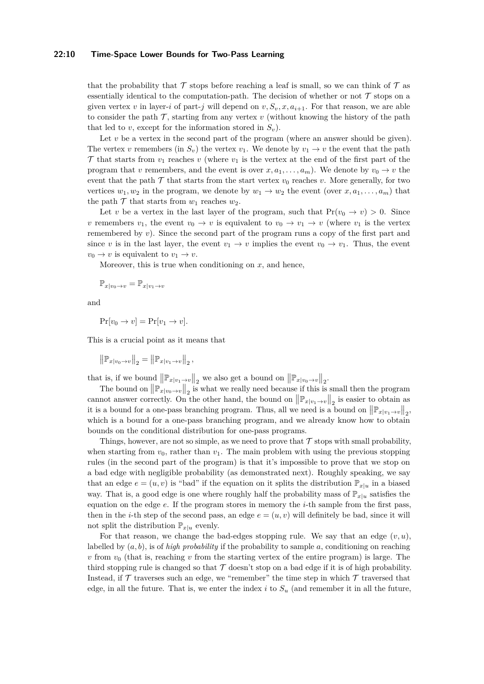#### **22:10 Time-Space Lower Bounds for Two-Pass Learning**

that the probability that  $\mathcal T$  stops before reaching a leaf is small, so we can think of  $\mathcal T$  as essentially identical to the computation-path. The decision of whether or not  $\mathcal T$  stops on a given vertex *v* in layer-*i* of part-*j* will depend on  $v, S_v, x, a_{i+1}$ . For that reason, we are able to consider the path  $\mathcal T$ , starting from any vertex  $v$  (without knowing the history of the path that led to *v*, except for the information stored in  $S_v$ ).

Let *v* be a vertex in the second part of the program (where an answer should be given). The vertex *v* remembers (in  $S_v$ ) the vertex  $v_1$ . We denote by  $v_1 \rightarrow v$  the event that the path T that starts from  $v_1$  reaches  $v$  (where  $v_1$  is the vertex at the end of the first part of the program that *v* remembers, and the event is over  $x, a_1, \ldots, a_m$ ). We denote by  $v_0 \to v$  the event that the path  $\mathcal T$  that starts from the start vertex  $v_0$  reaches *v*. More generally, for two vertices  $w_1, w_2$  in the program, we denote by  $w_1 \rightarrow w_2$  the event (over  $x, a_1, \ldots, a_m$ ) that the path  $\mathcal T$  that starts from  $w_1$  reaches  $w_2$ .

Let *v* be a vertex in the last layer of the program, such that  $Pr(v_0 \to v) > 0$ . Since *v* remembers  $v_1$ , the event  $v_0 \to v$  is equivalent to  $v_0 \to v_1 \to v$  (where  $v_1$  is the vertex remembered by *v*). Since the second part of the program runs a copy of the first part and since *v* is in the last layer, the event  $v_1 \rightarrow v$  implies the event  $v_0 \rightarrow v_1$ . Thus, the event  $v_0 \rightarrow v$  is equivalent to  $v_1 \rightarrow v$ .

Moreover, this is true when conditioning on  $x$ , and hence,

$$
\mathbb{P}_{x|v_0 \to v} = \mathbb{P}_{x|v_1 \to v}
$$

and

 $Pr[v_0 \to v] = Pr[v_1 \to v]$ .

This is a crucial point as it means that

$$
\left\| \mathbb{P}_{x|v_0 \to v} \right\|_2 = \left\| \mathbb{P}_{x|v_1 \to v} \right\|_2,
$$

that is, if we bound  $\left\|\mathbb{P}_{x|v_1\to v}\right\|_2$  we also get a bound on  $\left\|\mathbb{P}_{x|v_0\to v}\right\|_2$ .

The bound on  $\|\mathbb{P}_{x|v_0\to v}\|_2$  is what we really need because if this is small then the program cannot answer correctly. On the other hand, the bound on  $\left\|\mathbb{P}_{x|v_1\to v}\right\|_2$  is easier to obtain as it is a bound for a one-pass branching program. Thus, all we need is a bound on  $\|\mathbb{P}_{x|v_1\to v}\|_2$ , which is a bound for a one-pass branching program, and we already know how to obtain bounds on the conditional distribution for one-pass programs.

Things, however, are not so simple, as we need to prove that  $\mathcal T$  stops with small probability, when starting from  $v_0$ , rather than  $v_1$ . The main problem with using the previous stopping rules (in the second part of the program) is that it's impossible to prove that we stop on a bad edge with negligible probability (as demonstrated next). Roughly speaking, we say that an edge  $e = (u, v)$  is "bad" if the equation on it splits the distribution  $\mathbb{P}_{x|u}$  in a biased way. That is, a good edge is one where roughly half the probability mass of  $\mathbb{P}_{x|u}$  satisfies the equation on the edge *e*. If the program stores in memory the *i*-th sample from the first pass, then in the *i*-th step of the second pass, an edge  $e = (u, v)$  will definitely be bad, since it will not split the distribution  $\mathbb{P}_{x|u}$  evenly.

For that reason, we change the bad-edges stopping rule. We say that an edge  $(v, u)$ , labelled by  $(a, b)$ , is of *high probability* if the probability to sample  $a$ , conditioning on reaching *v* from  $v_0$  (that is, reaching *v* from the starting vertex of the entire program) is large. The third stopping rule is changed so that  $\mathcal T$  doesn't stop on a bad edge if it is of high probability. Instead, if  $\mathcal T$  traverses such an edge, we "remember" the time step in which  $\mathcal T$  traversed that edge, in all the future. That is, we enter the index  $i$  to  $S_u$  (and remember it in all the future,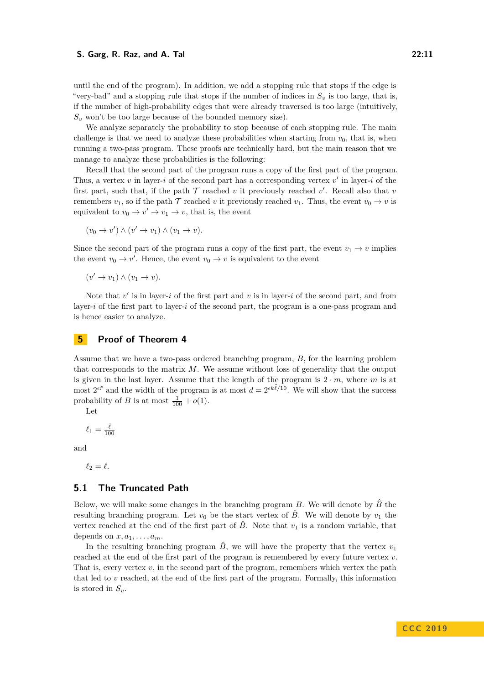until the end of the program). In addition, we add a stopping rule that stops if the edge is "very-bad" and a stopping rule that stops if the number of indices in  $S_v$  is too large, that is, if the number of high-probability edges that were already traversed is too large (intuitively,  $S_v$  won't be too large because of the bounded memory size).

We analyze separately the probability to stop because of each stopping rule. The main challenge is that we need to analyze these probabilities when starting from  $v_0$ , that is, when running a two-pass program. These proofs are technically hard, but the main reason that we manage to analyze these probabilities is the following:

Recall that the second part of the program runs a copy of the first part of the program. Thus, a vertex  $v$  in layer-*i* of the second part has a corresponding vertex  $v'$  in layer-*i* of the first part, such that, if the path  $\mathcal T$  reached  $v$  it previously reached  $v'$ . Recall also that  $v$ remembers  $v_1$ , so if the path  $\mathcal T$  reached  $v$  it previously reached  $v_1$ . Thus, the event  $v_0 \to v$  is equivalent to  $v_0 \to v' \to v_1 \to v$ , that is, the event

$$
(v_0 \to v') \land (v' \to v_1) \land (v_1 \to v).
$$

Since the second part of the program runs a copy of the first part, the event  $v_1 \rightarrow v$  implies the event  $v_0 \to v'$ . Hence, the event  $v_0 \to v$  is equivalent to the event

$$
(v' \to v_1) \land (v_1 \to v).
$$

Note that  $v'$  is in layer-*i* of the first part and  $v$  is in layer-*i* of the second part, and from layer-*i* of the first part to layer-*i* of the second part, the program is a one-pass program and is hence easier to analyze.

#### **5 Proof of Theorem [4](#page-6-0)**

Assume that we have a two-pass ordered branching program, *B*, for the learning problem that corresponds to the matrix *M*. We assume without loss of generality that the output is given in the last layer. Assume that the length of the program is  $2 \cdot m$ , where *m* is at most  $2^{\epsilon \tilde{r}}$  and the width of the program is at most  $d = 2^{\epsilon k \tilde{\ell}/10}$ . We will show that the success probability of *B* is at most  $\frac{1}{100} + o(1)$ .

Let

$$
\ell_1=\tfrac{\tilde{\ell}}{100}
$$

and

 $\ell_2 = \ell$ .

### **5.1 The Truncated Path**

Below, we will make some changes in the branching program *B*. We will denote by  $\hat{B}$  the resulting branching program. Let  $v_0$  be the start vertex of  $\hat{B}$ . We will denote by  $v_1$  the vertex reached at the end of the first part of  $\hat{B}$ . Note that  $v_1$  is a random variable, that depends on  $x, a_1, \ldots, a_m$ .

In the resulting branching program  $\hat{B}$ , we will have the property that the vertex  $v_1$ reached at the end of the first part of the program is remembered by every future vertex *v*. That is, every vertex  $v$ , in the second part of the program, remembers which vertex the path that led to *v* reached, at the end of the first part of the program. Formally, this information is stored in  $S_v$ .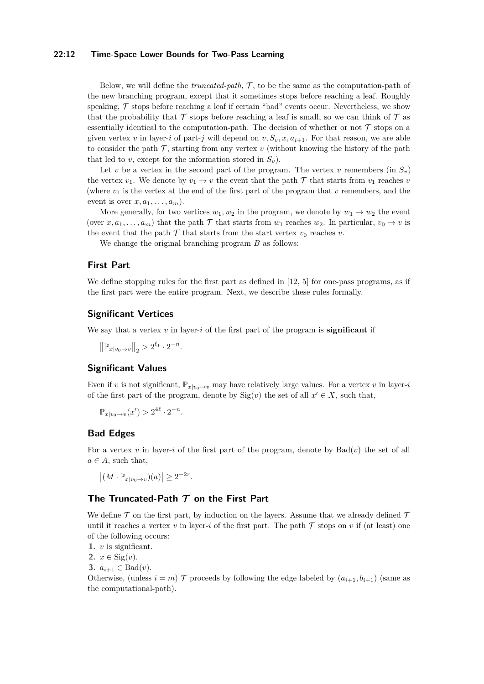#### **22:12 Time-Space Lower Bounds for Two-Pass Learning**

Below, we will define the *truncated-path*, T , to be the same as the computation-path of the new branching program, except that it sometimes stops before reaching a leaf. Roughly speaking,  $\mathcal T$  stops before reaching a leaf if certain "bad" events occur. Nevertheless, we show that the probability that  $\mathcal T$  stops before reaching a leaf is small, so we can think of  $\mathcal T$  as essentially identical to the computation-path. The decision of whether or not  $\mathcal T$  stops on a given vertex *v* in layer-*i* of part-*j* will depend on  $v, S_v, x, a_{i+1}$ . For that reason, we are able to consider the path  $\mathcal T$ , starting from any vertex  $v$  (without knowing the history of the path that led to *v*, except for the information stored in  $S<sub>v</sub>$ ).

Let *v* be a vertex in the second part of the program. The vertex *v* remembers (in  $S_v$ ) the vertex  $v_1$ . We denote by  $v_1 \rightarrow v$  the event that the path  $\mathcal T$  that starts from  $v_1$  reaches  $v_1$ (where  $v_1$  is the vertex at the end of the first part of the program that  $v$  remembers, and the event is over  $x, a_1, \ldots, a_m$ ).

More generally, for two vertices  $w_1, w_2$  in the program, we denote by  $w_1 \rightarrow w_2$  the event (over  $x, a_1, \ldots, a_m$ ) that the path  $\mathcal T$  that starts from  $w_1$  reaches  $w_2$ . In particular,  $v_0 \to v$  is the event that the path  $\mathcal T$  that starts from the start vertex  $v_0$  reaches  $v$ .

We change the original branching program *B* as follows:

### **First Part**

We define stopping rules for the first part as defined in [\[12,](#page-34-2) [5\]](#page-34-5) for one-pass programs, as if the first part were the entire program. Next, we describe these rules formally.

#### **Significant Vertices**

We say that a vertex *v* in layer-*i* of the first part of the program is **significant** if

 $\left\| \mathbb{P}_{x|v_0 \to v} \right\|_2 > 2^{\ell_1} \cdot 2^{-n}.$ 

### **Significant Values**

Even if *v* is not significant,  $\mathbb{P}_{x|v_0 \to v}$  may have relatively large values. For a vertex *v* in layer-*i* of the first part of the program, denote by  $\text{Sig}(v)$  the set of all  $x' \in X$ , such that,

$$
\mathbb{P}_{x|v_0 \to v}(x') > 2^{4\ell} \cdot 2^{-n}.
$$

#### **Bad Edges**

For a vertex  $v$  in layer-*i* of the first part of the program, denote by  $Bad(v)$  the set of all  $a \in A$ , such that,

$$
\left| (M \cdot \mathbb{P}_{x|v_0 \to v})(a) \right| \geq 2^{-2r}.
$$

### **The Truncated-Path T on the First Part**

We define  $\mathcal T$  on the first part, by induction on the layers. Assume that we already defined  $\mathcal T$ until it reaches a vertex *v* in layer-*i* of the first part. The path  $\mathcal T$  stops on *v* if (at least) one of the following occurs:

**1.** *v* is significant.

**2.**  $x \in \text{Sig}(v)$ .

**3.**  $a_{i+1}$  ∈ Bad(*v*).

Otherwise, (unless  $i = m$ ) T proceeds by following the edge labeled by  $(a_{i+1}, b_{i+1})$  (same as the computational-path).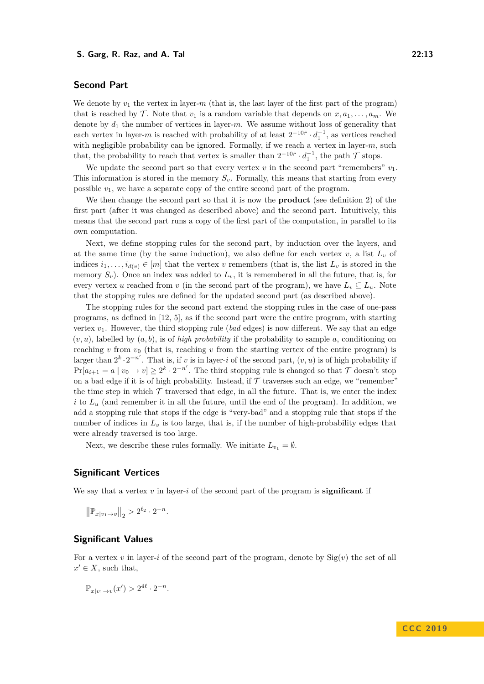### **Second Part**

We denote by  $v_1$  the vertex in layer- $m$  (that is, the last layer of the first part of the program) that is reached by  $\mathcal{T}$ . Note that  $v_1$  is a random variable that depends on  $x, a_1, \ldots, a_m$ . We denote by  $d_1$  the number of vertices in layer-*m*. We assume without loss of generality that each vertex in layer-*m* is reached with probability of at least  $2^{-10\tilde{r}} \cdot d_1^{-1}$ , as vertices reached with negligible probability can be ignored. Formally, if we reach a vertex in layer-*m*, such that, the probability to reach that vertex is smaller than  $2^{-10\tilde{r}} \cdot d_1^{-1}$ , the path  $\mathcal T$  stops.

We update the second part so that every vertex  $v$  in the second part "remembers"  $v_1$ . This information is stored in the memory  $S_v$ . Formally, this means that starting from every possible  $v_1$ , we have a separate copy of the entire second part of the program.

We then change the second part so that it is now the **product** (see definition [2\)](#page-5-0) of the first part (after it was changed as described above) and the second part. Intuitively, this means that the second part runs a copy of the first part of the computation, in parallel to its own computation.

Next, we define stopping rules for the second part, by induction over the layers, and at the same time (by the same induction), we also define for each vertex  $v$ , a list  $L_v$  of indices  $i_1, \ldots, i_{d(v)} \in [m]$  that the vertex *v* remembers (that is, the list  $L_v$  is stored in the memory  $S_v$ ). Once an index was added to  $L_v$ , it is remembered in all the future, that is, for every vertex *u* reached from *v* (in the second part of the program), we have  $L_v \subseteq L_u$ . Note that the stopping rules are defined for the updated second part (as described above).

The stopping rules for the second part extend the stopping rules in the case of one-pass programs, as defined in [\[12,](#page-34-2) [5\]](#page-34-5), as if the second part were the entire program, with starting vertex  $v_1$ . However, the third stopping rule (*bad* edges) is now different. We say that an edge  $(v, u)$ , labelled by  $(a, b)$ , is of *high probability* if the probability to sample a, conditioning on reaching  $v$  from  $v_0$  (that is, reaching  $v$  from the starting vertex of the entire program) is larger than  $2^k \cdot 2^{-n'}$ . That is, if *v* is in layer-*i* of the second part,  $(v, u)$  is of high probability if  $Pr[a_{i+1} = a \mid v_0 \to v] \geq 2^k \cdot 2^{-n'}$ . The third stopping rule is changed so that  $\mathcal T$  doesn't stop on a bad edge if it is of high probability. Instead, if  $\mathcal T$  traverses such an edge, we "remember" the time step in which  $\mathcal T$  traversed that edge, in all the future. That is, we enter the index  $i$  to  $L<sub>u</sub>$  (and remember it in all the future, until the end of the program). In addition, we add a stopping rule that stops if the edge is "very-bad" and a stopping rule that stops if the number of indices in  $L_v$  is too large, that is, if the number of high-probability edges that were already traversed is too large.

Next, we describe these rules formally. We initiate  $L_{v_1} = \emptyset$ .

#### **Significant Vertices**

We say that a vertex *v* in layer-*i* of the second part of the program is **significant** if

 $\left\| \mathbb{P}_{x|v_1 \to v} \right\|_2 > 2^{\ell_2} \cdot 2^{-n}.$ 

### **Significant Values**

For a vertex  $v$  in layer-*i* of the second part of the program, denote by  $\text{Sig}(v)$  the set of all  $x' \in X$ , such that,

$$
\mathbb{P}_{x|v_1 \to v}(x') > 2^{4\ell} \cdot 2^{-n}.
$$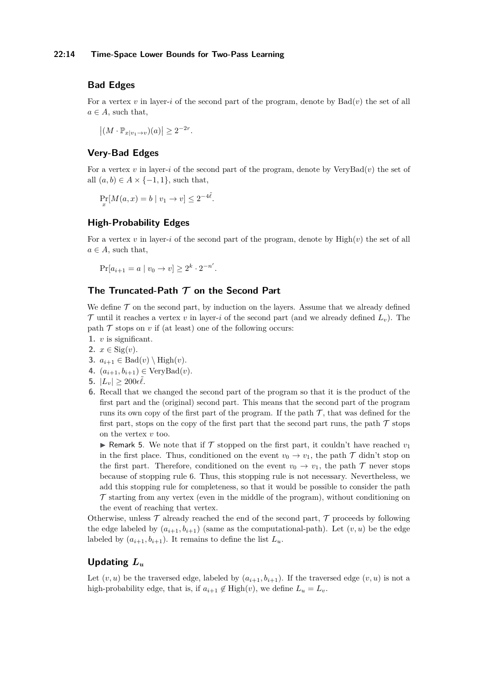#### **22:14 Time-Space Lower Bounds for Two-Pass Learning**

### **Bad Edges**

For a vertex  $v$  in layer-*i* of the second part of the program, denote by  $Bad(v)$  the set of all  $a \in A$ , such that,

 $|(M \cdot \mathbb{P}_{x|v_1 \to v})(a)| \geq 2^{-2r}.$ 

### **Very-Bad Edges**

For a vertex *v* in layer-*i* of the second part of the program, denote by VeryBad(*v*) the set of all  $(a, b) \in A \times \{-1, 1\}$ , such that,

$$
\Pr_x[M(a, x) = b \mid v_1 \to v] \le 2^{-4\tilde{\ell}}.
$$

### **High-Probability Edges**

For a vertex *v* in layer-*i* of the second part of the program, denote by  $\text{High}(v)$  the set of all  $a \in A$ , such that,

$$
\Pr[a_{i+1} = a \mid v_0 \to v] \ge 2^k \cdot 2^{-n'}.
$$

### **The Truncated-Path T on the Second Part**

We define  $\mathcal T$  on the second part, by induction on the layers. Assume that we already defined  $\mathcal T$  until it reaches a vertex *v* in layer-*i* of the second part (and we already defined  $L_v$ ). The path  $\mathcal T$  stops on  $v$  if (at least) one of the following occurs:

- <span id="page-13-1"></span>**1.** *v* is significant.
- <span id="page-13-2"></span>2.  $x \in \text{Sig}(v)$ .
- <span id="page-13-3"></span>**3.**  $a_{i+1} \in \text{Bad}(v) \setminus \text{High}(v)$ .
- <span id="page-13-4"></span>4.  $(a_{i+1}, b_{i+1}) \in \text{VeryBad}(v)$ .
- <span id="page-13-5"></span>**5.**  $|L_v| \geq 200 \epsilon \tilde{\ell}$ .
- <span id="page-13-0"></span>**6.** Recall that we changed the second part of the program so that it is the product of the first part and the (original) second part. This means that the second part of the program runs its own copy of the first part of the program. If the path  $\mathcal T$ , that was defined for the first part, stops on the copy of the first part that the second part runs, the path  $\mathcal T$  stops on the vertex *v* too.

**If Remark 5.** We note that if T stopped on the first part, it couldn't have reached  $v_1$ in the first place. Thus, conditioned on the event  $v_0 \to v_1$ , the path  $\mathcal T$  didn't stop on the first part. Therefore, conditioned on the event  $v_0 \to v_1$ , the path  $\mathcal T$  never stops because of stopping rule [6.](#page-13-0) Thus, this stopping rule is not necessary. Nevertheless, we add this stopping rule for completeness, so that it would be possible to consider the path  $\mathcal T$  starting from any vertex (even in the middle of the program), without conditioning on the event of reaching that vertex.

Otherwise, unless  $\mathcal T$  already reached the end of the second part,  $\mathcal T$  proceeds by following the edge labeled by  $(a_{i+1}, b_{i+1})$  (same as the computational-path). Let  $(v, u)$  be the edge labeled by  $(a_{i+1}, b_{i+1})$ . It remains to define the list  $L_u$ .

### **Updating** *L<sup>u</sup>*

Let  $(v, u)$  be the traversed edge, labeled by  $(a_{i+1}, b_{i+1})$ . If the traversed edge  $(v, u)$  is not a high-probability edge, that is, if  $a_{i+1} \notin \text{High}(v)$ , we define  $L_u = L_v$ .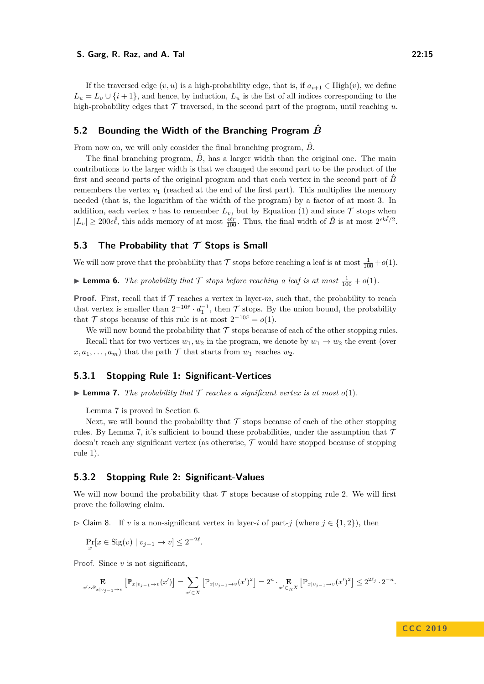If the traversed edge  $(v, u)$  is a high-probability edge, that is, if  $a_{i+1} \in \text{High}(v)$ , we define  $L_u = L_v \cup \{i+1\}$ , and hence, by induction,  $L_u$  is the list of all indices corresponding to the high-probability edges that  $\mathcal T$  traversed, in the second part of the program, until reaching  $u$ .

### **5.2 Bounding the Width of the Branching Program** *B***ˆ**

From now on, we will only consider the final branching program,  $\hat{B}$ .

The final branching program,  $\hat{B}$ , has a larger width than the original one. The main contributions to the larger width is that we changed the second part to be the product of the first and second parts of the original program and that each vertex in the second part of *B* remembers the vertex  $v_1$  (reached at the end of the first part). This multiplies the memory needed (that is, the logarithm of the width of the program) by a factor of at most 3. In addition, each vertex *v* has to remember  $L_v$ , but by Equation [\(1\)](#page-6-1) and since  $\mathcal T$  stops when  $|L_v| \geq 200 \epsilon \tilde{\ell}$ , this adds memory of at most  $\frac{\epsilon \tilde{\ell}r}{100}$ . Thus, the final width of  $\hat{B}$  is at most  $2^{\epsilon k \tilde{\ell}/2}$ .

### **5.3 The Probability that T Stops is Small**

We will now prove that the probability that  $\mathcal T$  stops before reaching a leaf is at most  $\frac{1}{100} + o(1)$ .

<span id="page-14-2"></span>**Example 1** Lemma 6. The probability that  $\mathcal T$  stops before reaching a leaf is at most  $\frac{1}{100} + o(1)$ .

**Proof.** First, recall that if  $\mathcal T$  reaches a vertex in layer- $m$ , such that, the probability to reach that vertex is smaller than  $2^{-10\tilde{r}} \cdot d_1^{-1}$ , then  $\mathcal T$  stops. By the union bound, the probability that  $\mathcal{T}$  stops because of this rule is at most  $2^{-10\tilde{r}} = o(1)$ .

We will now bound the probability that  $\mathcal T$  stops because of each of the other stopping rules.

Recall that for two vertices  $w_1, w_2$  in the program, we denote by  $w_1 \rightarrow w_2$  the event (over  $x, a_1, \ldots, a_m$  that the path  $\mathcal T$  that starts from  $w_1$  reaches  $w_2$ .

#### **5.3.1 Stopping Rule [1:](#page-13-1) Significant-Vertices**

<span id="page-14-0"></span> $\blacktriangleright$  **Lemma 7.** *The probability that*  $\mathcal T$  *reaches a significant vertex is at most*  $o(1)$ *.* 

Lemma [7](#page-14-0) is proved in Section [6.](#page-25-0)

Next, we will bound the probability that  $\mathcal T$  stops because of each of the other stopping rules. By Lemma [7,](#page-14-0) it's sufficient to bound these probabilities, under the assumption that  $\mathcal T$ doesn't reach any significant vertex (as otherwise, T would have stopped because of stopping rule [1\)](#page-13-1).

#### **5.3.2 Stopping Rule [2:](#page-13-2) Significant-Values**

We will now bound the probability that  $\mathcal T$  stops because of stopping rule [2.](#page-13-2) We will first prove the following claim.

<span id="page-14-1"></span> $\triangleright$  Claim 8. If *v* is a non-significant vertex in layer-*i* of part-*j* (where *j* ∈ {1, 2}), then

$$
\Pr_x[x \in \text{Sig}(v) \mid v_{j-1} \to v] \le 2^{-2\ell}.
$$

Proof. Since *v* is not significant,

$$
\mathop{\mathbf{E}}_{x'\sim \mathbb{P}_{x|v_{j-1}\rightarrow v}}\left[\mathbb{P}_{x|v_{j-1}\rightarrow v}(x')\right] = \sum_{x'\in X}\left[\mathbb{P}_{x|v_{j-1}\rightarrow v}(x')^2\right] = 2^n\cdot \mathop{\mathbf{E}}_{x'\in_R X}\left[\mathbb{P}_{x|v_{j-1}\rightarrow v}(x')^2\right] \leq 2^{2\ell_j}\cdot 2^{-n}.
$$

**C C C 2 0 1 9**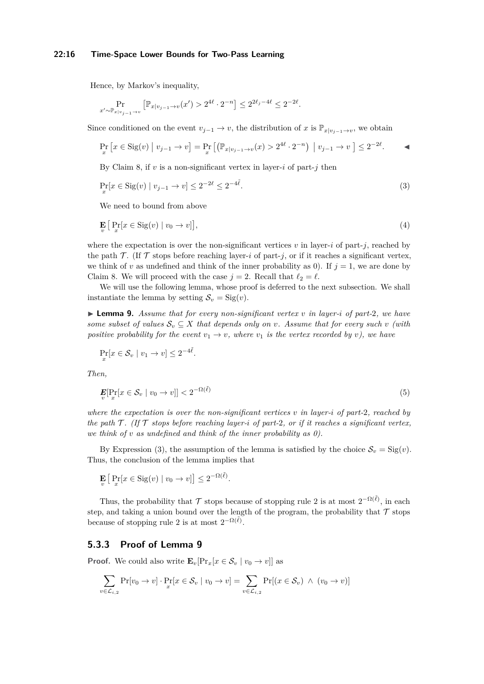#### **22:16 Time-Space Lower Bounds for Two-Pass Learning**

Hence, by Markov's inequality,

$$
\Pr_{x' \sim \mathbb{P}_{x|v_{j-1} \to v}} \left[ \mathbb{P}_{x|v_{j-1} \to v}(x') > 2^{4\ell} \cdot 2^{-n} \right] \le 2^{2\ell_j - 4\ell} \le 2^{-2\ell}.
$$

Since conditioned on the event  $v_{j-1} \to v$ , the distribution of *x* is  $\mathbb{P}_{x|v_{j-1}\to v}$ , we obtain

$$
\Pr_x \left[ x \in \text{Sig}(v) \mid v_{j-1} \to v \right] = \Pr_x \left[ \left( \mathbb{P}_{x|v_{j-1} \to v}(x) > 2^{4\ell} \cdot 2^{-n} \right) \mid v_{j-1} \to v \right] \le 2^{-2\ell}.
$$

By Claim [8,](#page-14-1) if  $v$  is a non-significant vertex in layer- $i$  of part- $j$  then

<span id="page-15-0"></span>
$$
\Pr_x[x \in \text{Sig}(v) \mid v_{j-1} \to v] \le 2^{-2\ell} \le 2^{-4\ell}.\tag{3}
$$

We need to bound from above

$$
\mathbf{E}\left[\Pr_x[x \in \text{Sig}(v) \mid v_0 \to v]\right],\tag{4}
$$

where the expectation is over the non-significant vertices  $v$  in layer-*i* of part-*j*, reached by the path  $\mathcal{T}$ . (If  $\mathcal{T}$  stops before reaching layer-*i* of part-*j*, or if it reaches a significant vertex, we think of *v* as undefined and think of the inner probability as 0). If  $j = 1$ , we are done by Claim [8.](#page-14-1) We will proceed with the case  $j = 2$ . Recall that  $\ell_2 = \ell$ .

We will use the following lemma, whose proof is deferred to the next subsection. We shall instantiate the lemma by setting  $S_v = \text{Sig}(v)$ .

<span id="page-15-1"></span> $\triangleright$  **Lemma 9.** Assume that for every non-significant vertex v in layer-*i* of part-2, we have *some subset of values*  $S_v \subseteq X$  *that depends only on v. Assume that for every such v (with positive probability for the event*  $v_1 \rightarrow v$ *, where*  $v_1$  *is the vertex recorded by v), we have* 

$$
\Pr_x[x \in \mathcal{S}_v \mid v_1 \to v] \le 2^{-4\tilde{\ell}}
$$

*.*

*Then,*

$$
\mathbf{E}[\Pr_x[x \in \mathcal{S}_v \mid v_0 \to v]] < 2^{-\Omega(\tilde{\ell})} \tag{5}
$$

*where the expectation is over the non-significant vertices v in layer-i of part-*2*, reached by the path*  $T$ *. (If*  $T$  *stops before reaching layer-i of part-2, or if it reaches a significant vertex, we think of v as undefined and think of the inner probability as 0).*

By Expression [\(3\)](#page-15-0), the assumption of the lemma is satisfied by the choice  $S_v = \text{Sig}(v)$ . Thus, the conclusion of the lemma implies that

$$
\mathbf{E}_{v} \left[ \Pr_{x} [x \in \text{Sig}(v) \mid v_0 \to v] \right] \leq 2^{-\Omega(\tilde{\ell})}.
$$

Thus, the probability that  $\mathcal T$  stops because of stopping rule [2](#page-13-2) is at most  $2^{-\Omega(\tilde{\ell})}$ , in each step, and taking a union bound over the length of the program, the probability that  $\mathcal T$  stops because of stopping rule [2](#page-13-2) is at most  $2^{-\Omega(\tilde{\ell})}$ .

### **5.3.3 Proof of Lemma [9](#page-15-1)**

**Proof.** We could also write  $\mathbf{E}_v[\Pr_x[x \in \mathcal{S}_v \mid v_0 \to v]]$  as

$$
\sum_{v \in \mathcal{L}_{i,2}} \Pr[v_0 \to v] \cdot \Pr[x \in \mathcal{S}_v \mid v_0 \to v] = \sum_{v \in \mathcal{L}_{i,2}} \Pr[(x \in \mathcal{S}_v) \land (v_0 \to v)]
$$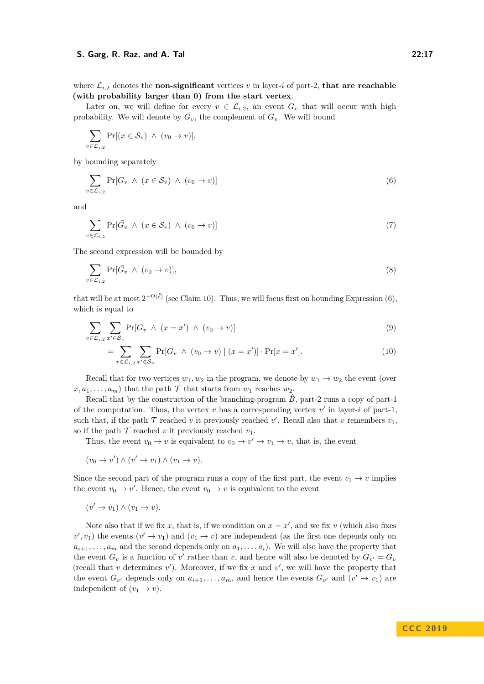Later on, we will define for every  $v \in \mathcal{L}_{i,2}$ , an event  $G_v$  that will occur with high probability. We will denote by  $\overline{G}_v$ , the complement of  $G_v$ . We will bound

$$
\sum_{v \in \mathcal{L}_{i,2}} \Pr[(x \in \mathcal{S}_v) \ \wedge \ (v_0 \to v)],
$$

by bounding separately

<span id="page-16-0"></span>
$$
\sum_{v \in \mathcal{L}_{i,2}} \Pr[G_v \wedge (x \in \mathcal{S}_v) \wedge (v_0 \to v)] \tag{6}
$$

and

<span id="page-16-2"></span>
$$
\sum_{v \in \mathcal{L}_{i,2}} \Pr[\bar{G}_v \ \land \ (x \in \mathcal{S}_v) \ \land \ (v_0 \to v)] \tag{7}
$$

The second expression will be bounded by

$$
\sum_{v \in \mathcal{L}_{i,2}} \Pr[\bar{G}_v \wedge (v_0 \to v)],\tag{8}
$$

that will be at most  $2^{-\Omega(\tilde{\ell})}$  (see Claim [10\)](#page-18-0). Thus, we will focus first on bounding Expression [\(6\)](#page-16-0), which is equal to

$$
\sum_{v \in \mathcal{L}_{i,2}} \sum_{x' \in \mathcal{S}_v} \Pr[G_v \land (x = x') \land (v_0 \to v)] \tag{9}
$$

<span id="page-16-1"></span>
$$
= \sum_{v \in \mathcal{L}_{i,2}} \sum_{x' \in \mathcal{S}_v} \Pr[G_v \wedge (v_0 \to v) \mid (x = x')] \cdot \Pr[x = x'].
$$
 (10)

Recall that for two vertices  $w_1, w_2$  in the program, we denote by  $w_1 \rightarrow w_2$  the event (over  $(x, a_1, \ldots, a_m)$  that the path  $\mathcal T$  that starts from  $w_1$  reaches  $w_2$ .

Recall that by the construction of the branching-program  $\ddot{B}$ , part-2 runs a copy of part-1 of the computation. Thus, the vertex  $v$  has a corresponding vertex  $v'$  in layer-*i* of part-1, such that, if the path  $\mathcal T$  reached  $v$  it previously reached  $v'$ . Recall also that  $v$  remembers  $v_1$ , so if the path  $\mathcal T$  reached *v* it previously reached  $v_1$ .

Thus, the event  $v_0 \to v$  is equivalent to  $v_0 \to v' \to v_1 \to v$ , that is, the event

$$
(v_0 \to v') \land (v' \to v_1) \land (v_1 \to v).
$$

Since the second part of the program runs a copy of the first part, the event  $v_1 \rightarrow v$  implies the event  $v_0 \to v'$ . Hence, the event  $v_0 \to v$  is equivalent to the event

$$
(v' \to v_1) \land (v_1 \to v).
$$

Note also that if we fix *x*, that is, if we condition on  $x = x'$ , and we fix *v* (which also fixes  $(v', v_1)$  the events  $(v' \rightarrow v_1)$  and  $(v_1 \rightarrow v)$  are independent (as the first one depends only on  $a_{i+1}, \ldots, a_m$  and the second depends only on  $a_1, \ldots, a_i$ ). We will also have the property that the event  $G_v$  is a function of  $v'$  rather than  $v$ , and hence will also be denoted by  $G_{v'} = G_v$ (recall that *v* determines *v*<sup>'</sup>). Moreover, if we fix *x* and *v*<sup>'</sup>, we will have the property that the event  $G_{v'}$  depends only on  $a_{i+1}, \ldots, a_m$ , and hence the events  $G_{v'}$  and  $(v' \rightarrow v_1)$  are independent of  $(v_1 \rightarrow v)$ .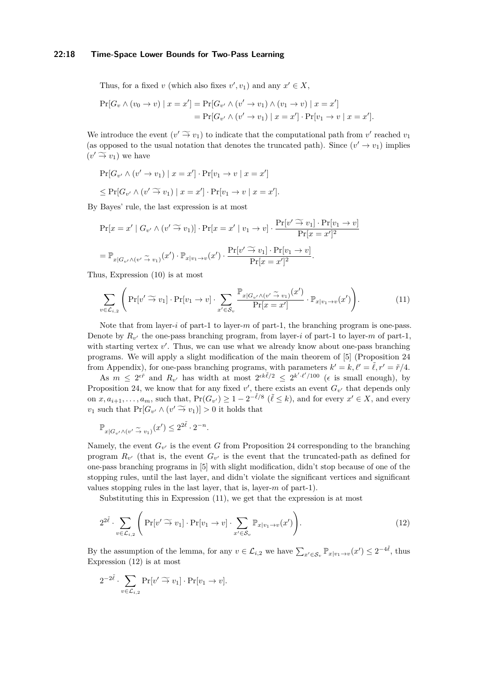#### **22:18 Time-Space Lower Bounds for Two-Pass Learning**

Thus, for a fixed *v* (which also fixes  $v', v_1$ ) and any  $x' \in X$ ,

$$
\Pr[G_v \land (v_0 \to v) \mid x = x'] = \Pr[G_{v'} \land (v' \to v_1) \land (v_1 \to v) \mid x = x']
$$
  
= 
$$
\Pr[G_{v'} \land (v' \to v_1) \mid x = x'] \cdot \Pr[v_1 \to v \mid x = x'].
$$

We introduce the event  $(v' \to v_1)$  to indicate that the computational path from *v'* reached  $v_1$ <br>(so appeared to the wavel pathtian that denotes the truncated path). Since  $(v' \to v_1)$  implies (as opposed to the usual notation that denotes the truncated path). Since  $(v' \rightarrow v_1)$  implies  $(v' \widetilde{\rightarrow} v_1)$  we have

$$
\Pr[G_{v'} \land (v' \to v_1) \mid x = x'] \cdot \Pr[v_1 \to v \mid x = x']
$$
  
\n
$$
\leq \Pr[G_{v'} \land (v' \stackrel{\sim}{\to} v_1) \mid x = x'] \cdot \Pr[v_1 \to v \mid x = x'].
$$

By Bayes' rule, the last expression is at most

$$
\Pr[x = x' \mid G_{v'} \land (v' \widetilde{\rightarrow} v_1)] \cdot \Pr[x = x' \mid v_1 \rightarrow v] \cdot \frac{\Pr[v' \widetilde{\rightarrow} v_1] \cdot \Pr[v_1 \rightarrow v]}{\Pr[x = x']^2}
$$
\n
$$
= \mathbb{P}_{x \mid G_{v'} \land (v' \widetilde{\rightarrow} v_1)}(x') \cdot \mathbb{P}_{x \mid v_1 \rightarrow v}(x') \cdot \frac{\Pr[v' \widetilde{\rightarrow} v_1] \cdot \Pr[v_1 \rightarrow v]}{\Pr[x = x']^2}.
$$

Thus, Expression [\(10\)](#page-16-1) is at most

<span id="page-17-0"></span>
$$
\sum_{v \in \mathcal{L}_{i,2}} \left( \Pr[v' \widetilde{\to} v_1] \cdot \Pr[v_1 \to v] \cdot \sum_{x' \in \mathcal{S}_v} \frac{\mathbb{P}_{x | G_{v'} \land (v' \widetilde{\to} v_1)}(x')}{\Pr[x = x']} \cdot \mathbb{P}_{x | v_1 \to v}(x') \right). \tag{11}
$$

Note that from layer-*i* of part-1 to layer-*m* of part-1, the branching program is one-pass. Denote by  $R_{v'}$  the one-pass branching program, from layer-*i* of part-1 to layer-*m* of part-1, with starting vertex  $v'$ . Thus, we can use what we already know about one-pass branching programs. We will apply a slight modification of the main theorem of [\[5\]](#page-34-5) (Proposition [24](#page-35-0) from Appendix), for one-pass branching programs, with parameters  $k' = k$ ,  $\ell' = \tilde{\ell}$ ,  $r' = \tilde{r}/4$ .

As  $m \leq 2^{\epsilon \tilde{r}}$  and  $R_{v'}$  has width at most  $2^{\epsilon k \tilde{\ell}/2} \leq 2^{k' \cdot \ell'/100}$  ( $\epsilon$  is small enough), by Proposition [24,](#page-35-0) we know that for any fixed  $v'$ , there exists an event  $G_{v'}$  that depends only on  $x, a_{i+1}, \ldots, a_m$ , such that,  $Pr(G_{v'}) \geq 1 - 2^{-\tilde{\ell}/8}$   $(\tilde{\ell} \leq k)$ , and for every  $x' \in X$ , and every  $v_1$  such that  $Pr[G_{v'} \wedge (v' \stackrel{\sim}{\rightarrow} v_1)] > 0$  it holds that

$$
\mathbb{P}_{x|G_{v'} \wedge (v' \stackrel{\sim}{\to} v_1)}(x') \leq 2^{2\tilde{\ell}} \cdot 2^{-n}.
$$

Namely, the event  $G_{v'}$  is the event *G* from Proposition [24](#page-35-0) corresponding to the branching program  $R_{v'}$  (that is, the event  $G_{v'}$  is the event that the truncated-path as defined for one-pass branching programs in [\[5\]](#page-34-5) with slight modification, didn't stop because of one of the stopping rules, until the last layer, and didn't violate the significant vertices and significant values stopping rules in the last layer, that is, layer-*m* of part-1).

<span id="page-17-1"></span>Substituting this in Expression [\(11\)](#page-17-0), we get that the expression is at most

$$
2^{2\tilde{\ell}} \cdot \sum_{v \in \mathcal{L}_{i,2}} \left( \Pr[v' \widetilde{\to} v_1] \cdot \Pr[v_1 \to v] \cdot \sum_{x' \in \mathcal{S}_v} \mathbb{P}_{x|v_1 \to v}(x') \right). \tag{12}
$$

By the assumption of the lemma, for any  $v \in \mathcal{L}_{i,2}$  we have  $\sum_{x' \in \mathcal{S}_v} \mathbb{P}_{x|v_1 \to v}(x') \leq 2^{-4\tilde{\ell}}$ , thus Expression [\(12\)](#page-17-1) is at most

$$
2^{-2\tilde{\ell}} \cdot \sum_{v \in \mathcal{L}_{i,2}} \Pr[v' \widetilde{\to} v_1] \cdot \Pr[v_1 \to v].
$$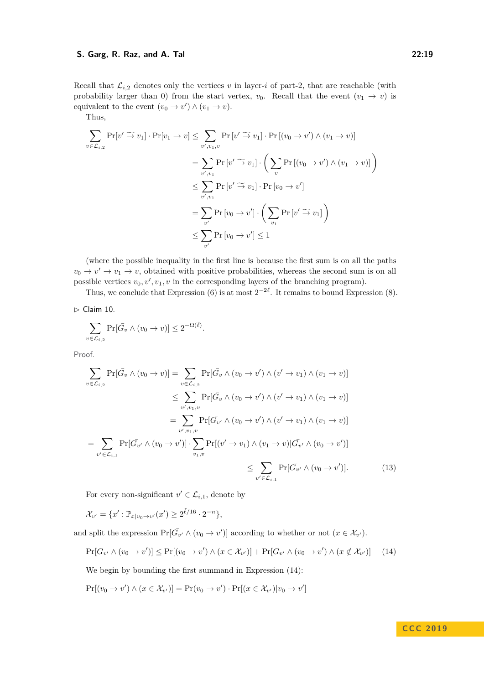Recall that  $\mathcal{L}_{i,2}$  denotes only the vertices *v* in layer-*i* of part-2, that are reachable (with probability larger than 0) from the start vertex,  $v_0$ . Recall that the event  $(v_1 \rightarrow v)$  is equivalent to the event  $(v_0 \to v') \land (v_1 \to v)$ .

Thus,

$$
\sum_{v \in \mathcal{L}_{i,2}} \Pr[v' \widetilde{\to} v_1] \cdot \Pr[v_1 \to v] \le \sum_{v', v_1, v} \Pr[v' \widetilde{\to} v_1] \cdot \Pr[(v_0 \to v') \land (v_1 \to v)]
$$
\n
$$
= \sum_{v', v_1} \Pr[v' \widetilde{\to} v_1] \cdot \left( \sum_v \Pr[(v_0 \to v') \land (v_1 \to v)] \right)
$$
\n
$$
\le \sum_{v', v_1} \Pr[v' \widetilde{\to} v_1] \cdot \Pr[v_0 \to v']
$$
\n
$$
= \sum_{v'} \Pr[v_0 \to v'] \cdot \left( \sum_{v_1} \Pr[v' \widetilde{\to} v_1] \right)
$$
\n
$$
\le \sum_{v'} \Pr[v_0 \to v'] \le 1
$$

(where the possible inequality in the first line is because the first sum is on all the paths  $v_0 \to v' \to v_1 \to v$ , obtained with positive probabilities, whereas the second sum is on all possible vertices  $v_0, v', v_1, v$  in the corresponding layers of the branching program).

Thus, we conclude that Expression [\(6\)](#page-16-0) is at most  $2^{-2\tilde{\ell}}$ . It remains to bound Expression [\(8\)](#page-16-2).

<span id="page-18-0"></span> $\triangleright$  Claim 10.

$$
\sum_{v \in \mathcal{L}_{i,2}} \Pr[\bar{G}_v \land (v_0 \to v)] \le 2^{-\Omega(\tilde{\ell})}.
$$

Proof.

$$
\sum_{v \in \mathcal{L}_{i,2}} \Pr[\bar{G}_v \wedge (v_0 \to v)] = \sum_{v \in \mathcal{L}_{i,2}} \Pr[\bar{G}_v \wedge (v_0 \to v') \wedge (v' \to v_1) \wedge (v_1 \to v)]
$$
\n
$$
\leq \sum_{v', v_1, v} \Pr[\bar{G}_v \wedge (v_0 \to v') \wedge (v' \to v_1) \wedge (v_1 \to v)]
$$
\n
$$
= \sum_{v', v_1, v} \Pr[\bar{G}_{v'} \wedge (v_0 \to v') \wedge (v' \to v_1) \wedge (v_1 \to v)]
$$
\n
$$
= \sum_{v' \in \mathcal{L}_{i,1}} \Pr[\bar{G}_{v'} \wedge (v_0 \to v')] \cdot \sum_{v_1, v} \Pr[(v' \to v_1) \wedge (v_1 \to v) | \bar{G}_{v'} \wedge (v_0 \to v')]
$$
\n
$$
\leq \sum_{v' \in \mathcal{L}_{i,1}} \Pr[\bar{G}_{v'} \wedge (v_0 \to v')]. \tag{13}
$$

<span id="page-18-2"></span>For every non-significant  $v' \in \mathcal{L}_{i,1}$ , denote by

 $\mathcal{X}_{v'} = \{x' : \mathbb{P}_{x|v_0 \to v'}(x') \ge 2^{\tilde{\ell}/16} \cdot 2^{-n}\},$ 

and split the expression  $Pr[\bar{G}_{v'} \wedge (v_0 \to v')]$  according to whether or not  $(x \in \mathcal{X}_{v'})$ .

<span id="page-18-1"></span>
$$
\Pr[\bar{G_{v'}} \land (v_0 \to v')] \le \Pr[(v_0 \to v') \land (x \in \mathcal{X}_{v'})] + \Pr[\bar{G_{v'}} \land (v_0 \to v') \land (x \notin \mathcal{X}_{v'})] \tag{14}
$$

We begin by bounding the first summand in Expression [\(14\)](#page-18-1):

$$
Pr[(v_0 \to v') \land (x \in \mathcal{X}_{v'})] = Pr(v_0 \to v') \cdot Pr[(x \in \mathcal{X}_{v'})|v_0 \to v']
$$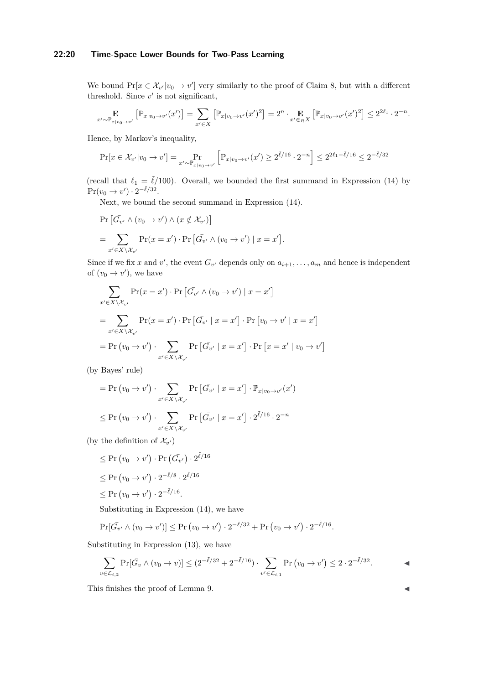### **22:20 Time-Space Lower Bounds for Two-Pass Learning**

We bound  $Pr[x \in \mathcal{X}_{v'}|v_0 \to v']$  very similarly to the proof of Claim [8,](#page-14-1) but with a different threshold. Since  $v'$  is not significant,

$$
\mathop{\mathbf{E}}_{x' \sim \mathbb{P}_{x|v_0 \to v'}} \left[ \mathbb{P}_{x|v_0 \to v'}(x') \right] = \sum_{x' \in X} \left[ \mathbb{P}_{x|v_0 \to v'}(x')^2 \right] = 2^n \cdot \mathop{\mathbf{E}}_{x' \in RX} \left[ \mathbb{P}_{x|v_0 \to v'}(x')^2 \right] \leq 2^{2\ell_1} \cdot 2^{-n}.
$$

Hence, by Markov's inequality,

$$
\Pr[x \in \mathcal{X}_{v'}|v_0 \to v'] = \Pr_{x' \sim \mathbb{P}_{x|v_0 \to v'}} \left[ \mathbb{P}_{x|v_0 \to v'}(x') \ge 2^{\tilde{\ell}/16} \cdot 2^{-n} \right] \le 2^{2\ell_1 - \tilde{\ell}/16} \le 2^{-\tilde{\ell}/32}
$$

(recall that  $\ell_1 = \tilde{\ell}/100$ ). Overall, we bounded the first summand in Expression [\(14\)](#page-18-1) by  $\Pr(v_0 \to v') \cdot 2^{-\tilde{\ell}/32}.$ 

Next, we bound the second summand in Expression [\(14\)](#page-18-1).

$$
\Pr\left[\bar{G}_{v'} \wedge (v_0 \to v') \wedge (x \notin \mathcal{X}_{v'})\right]
$$
  
= 
$$
\sum_{x' \in X \setminus \mathcal{X}_{v'}} \Pr(x = x') \cdot \Pr\left[\bar{G}_{v'} \wedge (v_0 \to v') \mid x = x'\right].
$$

Since if we fix *x* and *v*', the event  $G_{v'}$  depends only on  $a_{i+1}, \ldots, a_m$  and hence is independent of  $(v_0 \to v')$ , we have

$$
\sum_{x' \in X \setminus \mathcal{X}_{v'}} \Pr(x = x') \cdot \Pr\left[\bar{G_{v'}} \wedge (v_0 \to v') \mid x = x'\right]
$$

$$
= \sum_{x' \in X \setminus \mathcal{X}_{v'}} \Pr(x = x') \cdot \Pr\left[\bar{G_{v'}} \mid x = x'\right] \cdot \Pr\left[v_0 \to v' \mid x = x'\right]
$$

$$
= \Pr\left(v_0 \to v'\right) \cdot \sum_{x' \in X \setminus \mathcal{X}_{v'}} \Pr\left[\bar{G_{v'}} \mid x = x'\right] \cdot \Pr\left[x = x' \mid v_0 \to v'\right]
$$

(by Bayes' rule)

$$
= \Pr(v_0 \to v') \cdot \sum_{x' \in X \setminus \mathcal{X}_{v'}} \Pr\left[\bar{G_{v'}} \mid x = x'\right] \cdot \mathbb{P}_{x|v_0 \to v'}(x')
$$
  

$$
\leq \Pr(v_0 \to v') \cdot \sum_{x' \in X \setminus \mathcal{X}_{v'}} \Pr\left[\bar{G_{v'}} \mid x = x'\right] \cdot 2^{\tilde{\ell}/16} \cdot 2^{-n}
$$

(by the definition of  $\mathcal{X}_{v'}$ )

$$
\leq \Pr(v_0 \to v') \cdot \Pr(\bar{G_{v'}}) \cdot 2^{\tilde{\ell}/16}
$$

$$
\leq \Pr(v_0 \to v') \cdot 2^{-\tilde{\ell}/8} \cdot 2^{\tilde{\ell}/16}
$$

$$
\leq \Pr(v_0 \to v') \cdot 2^{-\tilde{\ell}/16}.
$$

Substituting in Expression [\(14\)](#page-18-1), we have

$$
\Pr[\bar{G_{v'}} \wedge (v_0 \to v')] \leq \Pr(v_0 \to v') \cdot 2^{-\tilde{\ell}/32} + \Pr(v_0 \to v') \cdot 2^{-\tilde{\ell}/16}.
$$

Substituting in Expression [\(13\)](#page-18-2), we have

$$
\sum_{v \in \mathcal{L}_{i,2}} \Pr[\bar{G}_v \land (v_0 \to v)] \le (2^{-\tilde{\ell}/32} + 2^{-\tilde{\ell}/16}) \cdot \sum_{v' \in \mathcal{L}_{i,1}} \Pr(v_0 \to v') \le 2 \cdot 2^{-\tilde{\ell}/32}.
$$

This finishes the proof of Lemma [9.](#page-15-1)  $\blacksquare$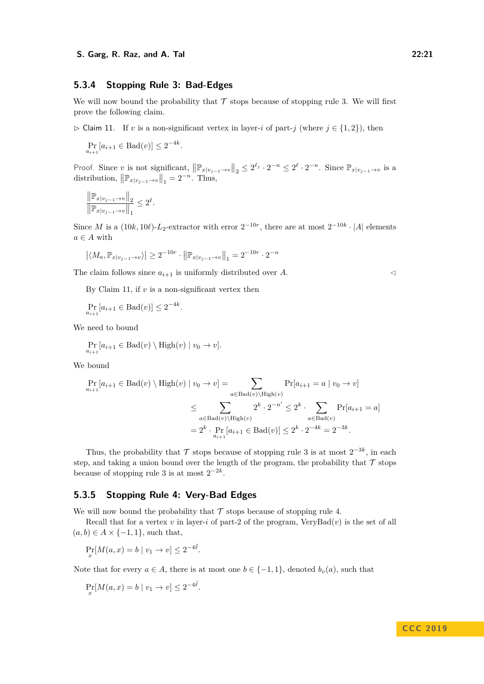#### **5.3.4 Stopping Rule [3:](#page-13-3) Bad-Edges**

We will now bound the probability that  $\mathcal T$  stops because of stopping rule [3.](#page-13-3) We will first prove the following claim.

<span id="page-20-0"></span> $\triangleright$  Claim 11. If *v* is a non-significant vertex in layer-*i* of part-*j* (where  $j \in \{1, 2\}$ ), then

$$
\Pr_{a_{i+1}}[a_{i+1} \in \text{Bad}(v)] \le 2^{-4k}.
$$

Proof. Since *v* is not significant,  $\left\|\mathbb{P}_{x|v_{j-1}\to v}\right\|_2 \leq 2^{\ell_j} \cdot 2^{-n} \leq 2^{\ell} \cdot 2^{-n}$ . Since  $\mathbb{P}_{x|v_{j-1}\to v}$  is a distribution,  $\left\| \mathbb{P}_{x|v_{j-1}\to v} \right\|_1 = 2^{-n}$ . Thus,

$$
\frac{\left\|\mathbb{P}_{x|v_{j-1}\to v}\right\|_2}{\left\|\mathbb{P}_{x|v_{j-1}\to v}\right\|_1} \leq 2^{\ell}.
$$

Since *M* is a  $(10k, 10l)$ -*L*<sub>2</sub>-extractor with error  $2^{-10r}$ , there are at most  $2^{-10k} \cdot |A|$  elements  $a \in A$  with

$$
|\langle M_a, \mathbb{P}_{x|v_{j-1}\to v} \rangle| \ge 2^{-10r} \cdot ||\mathbb{P}_{x|v_{j-1}\to v}||_1 = 2^{-10r} \cdot 2^{-n}
$$

The claim follows since  $a_{i+1}$  is uniformly distributed over *A*.

By Claim [11,](#page-20-0) if *v* is a non-significant vertex then

 $\Pr_{a_{i+1}}[a_{i+1} \in \text{Bad}(v)] \leq 2^{-4k}.$ 

We need to bound

$$
\Pr_{a_{i+1}}[a_{i+1} \in \text{Bad}(v) \setminus \text{High}(v) \mid v_0 \to v].
$$

We bound

$$
\Pr_{a_{i+1}}[a_{i+1} \in \text{Bad}(v) \setminus \text{High}(v) \mid v_0 \to v] = \sum_{a \in \text{Bad}(v) \setminus \text{High}(v)} \Pr[a_{i+1} = a \mid v_0 \to v]
$$

$$
\leq \sum_{a \in \text{Bad}(v) \setminus \text{High}(v)} 2^k \cdot 2^{-n'} \leq 2^k \cdot \sum_{a \in \text{Bad}(v)} \Pr[a_{i+1} = a]
$$

$$
= 2^k \cdot \Pr_{a_{i+1}}[a_{i+1} \in \text{Bad}(v)] \leq 2^k \cdot 2^{-4k} = 2^{-3k}.
$$

Thus, the probability that  $\mathcal T$  stops because of stopping rule [3](#page-13-3) is at most  $2^{-3k}$ , in each step, and taking a union bound over the length of the program, the probability that  $\mathcal T$  stops because of stopping rule [3](#page-13-3) is at most  $2^{-2k}$ .

### **5.3.5 Stopping Rule [4:](#page-13-4) Very-Bad Edges**

We will now bound the probability that  $\mathcal T$  stops because of stopping rule [4.](#page-13-4)

Recall that for a vertex  $v$  in layer-*i* of part-2 of the program, VeryBad $(v)$  is the set of all  $(a, b) \in A \times \{-1, 1\}$ , such that,

$$
\Pr_x[M(a, x) = b \mid v_1 \to v] \le 2^{-4\tilde{\ell}}.
$$

Note that for every  $a \in A$ , there is at most one  $b \in \{-1, 1\}$ , denoted  $b_v(a)$ , such that

$$
\Pr_x[M(a, x) = b \mid v_1 \to v] \le 2^{-4\tilde{\ell}}.
$$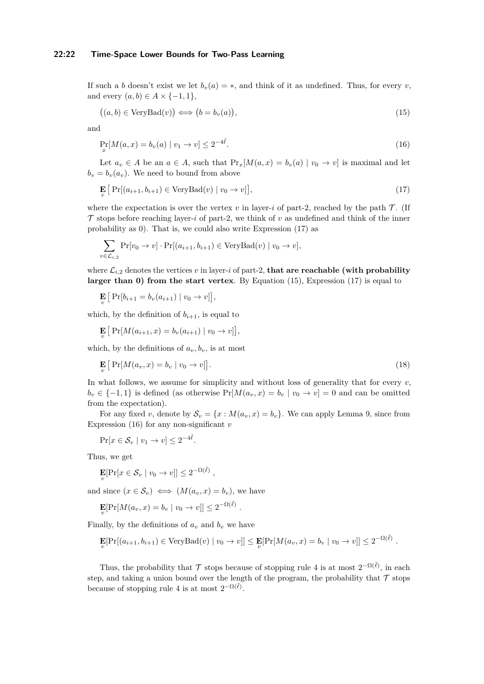#### **22:22 Time-Space Lower Bounds for Two-Pass Learning**

If such a *b* doesn't exist we let  $b_v(a) = *$ , and think of it as undefined. Thus, for every *v*, and every  $(a, b) \in A \times \{-1, 1\},\$ 

<span id="page-21-2"></span><span id="page-21-1"></span>
$$
((a,b) \in \text{VeryBad}(v)) \iff (b = b_v(a)), \tag{15}
$$

and

$$
\Pr_x[M(a,x) = b_v(a) \mid v_1 \to v] \le 2^{-4\tilde{\ell}}.\tag{16}
$$

Let  $a_v \in A$  be an  $a \in A$ , such that  $\Pr_x[M(a,x) = b_v(a) \mid v_0 \to v]$  is maximal and let  $b_v = b_v(a_v)$ . We need to bound from above

<span id="page-21-0"></span>
$$
\mathbf{E}_{v} \left[ \Pr[(a_{i+1}, b_{i+1}) \in \text{VeryBad}(v) \mid v_0 \to v] \right],\tag{17}
$$

where the expectation is over the vertex  $v$  in layer-*i* of part-2, reached by the path  $\mathcal{T}$ . (If  $\mathcal T$  stops before reaching layer-*i* of part-2, we think of *v* as undefined and think of the inner probability as 0). That is, we could also write Expression [\(17\)](#page-21-0) as

$$
\sum_{v \in \mathcal{L}_{i,2}} \Pr[v_0 \to v] \cdot \Pr[(a_{i+1}, b_{i+1}) \in \text{VeryBad}(v) \mid v_0 \to v],
$$

where  $\mathcal{L}_{i,2}$  denotes the vertices  $v$  in layer-*i* of part-2, **that are reachable (with probability larger than 0) from the start vertex**. By Equation [\(15\)](#page-21-1), Expression [\(17\)](#page-21-0) is equal to

$$
\mathbf{E}_{v} \left[ \Pr[b_{i+1} = b_{v}(a_{i+1}) \mid v_0 \to v] \right],
$$

which, by the definition of  $b_{i+1}$ , is equal to

$$
\mathbf{E}_{v} \left[ \Pr[M(a_{i+1}, x) = b_{v}(a_{i+1}) \mid v_0 \to v] \right],
$$

which, by the definitions of  $a_v, b_v$ , is at most

$$
\mathbf{E}_{v} \left[ \Pr[M(a_v, x) = b_v \mid v_0 \to v] \right]. \tag{18}
$$

In what follows, we assume for simplicity and without loss of generality that for every  $v$ ,  $b_v \in \{-1,1\}$  is defined (as otherwise  $Pr[M(a_v,x) = b_v \mid v_0 \to v] = 0$  and can be omitted from the expectation).

For any fixed *v*, denote by  $S_v = \{x : M(a_v, x) = b_v\}$ . We can apply Lemma [9,](#page-15-1) since from Expression [\(16\)](#page-21-2) for any non-significant *v*

$$
\Pr[x \in \mathcal{S}_v \mid v_1 \to v] \le 2^{-4\tilde{\ell}}.
$$

Thus, we get

$$
\mathbf{E}[\Pr[x \in \mathcal{S}_v \mid v_0 \to v]] \leq 2^{-\Omega(\tilde{\ell})},
$$

and since  $(x \in \mathcal{S}_v) \iff (M(a_v, x) = b_v)$ , we have

$$
\mathbf{E}[Pr[M(a_v, x) = b_v \mid v_0 \to v]] \le 2^{-\Omega(\tilde{\ell})}
$$

Finally, by the definitions of  $a_v$  and  $b_v$  we have

$$
\mathbf{E}[\Pr[(a_{i+1}, b_{i+1}) \in \text{VeryBad}(v) \mid v_0 \to v]] \leq \mathbf{E}[\Pr[M(a_v, x) = b_v \mid v_0 \to v]] \leq 2^{-\Omega(\tilde{\ell})}.
$$

*.*

Thus, the probability that  $\mathcal T$  stops because of stopping rule [4](#page-13-4) is at most  $2^{-\Omega(\tilde{\ell})}$ , in each step, and taking a union bound over the length of the program, the probability that  $\mathcal T$  stops because of stopping rule [4](#page-13-4) is at most  $2^{-\Omega(\tilde{\ell})}$ .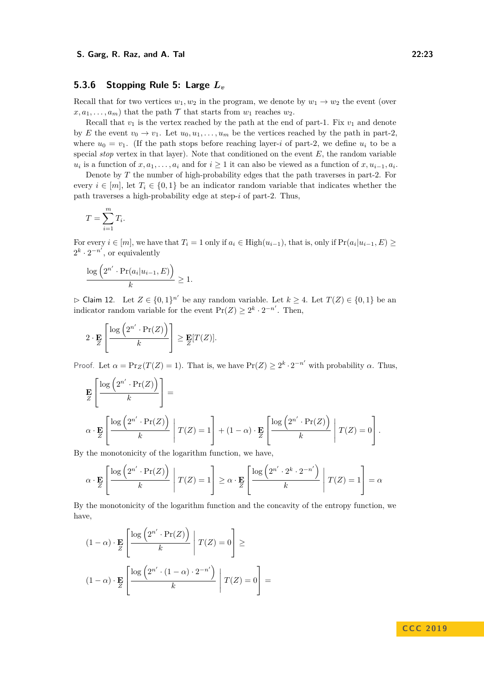### **5.3.6 Stopping Rule [5:](#page-13-5) Large** *L<sup>v</sup>*

Recall that for two vertices  $w_1, w_2$  in the program, we denote by  $w_1 \rightarrow w_2$  the event (over  $x, a_1, \ldots, a_m$  that the path  $\mathcal T$  that starts from  $w_1$  reaches  $w_2$ .

Recall that  $v_1$  is the vertex reached by the path at the end of part-1. Fix  $v_1$  and denote by *E* the event  $v_0 \to v_1$ . Let  $u_0, u_1, \ldots, u_m$  be the vertices reached by the path in part-2, where  $u_0 = v_1$ . (If the path stops before reaching layer-*i* of part-2, we define  $u_i$  to be a special *stop* vertex in that layer). Note that conditioned on the event *E*, the random variable  $u_i$  is a function of  $x, a_1, \ldots, a_i$  and for  $i \geq 1$  it can also be viewed as a function of  $x, u_{i-1}, a_i$ .

Denote by *T* the number of high-probability edges that the path traverses in part-2. For every  $i \in [m]$ , let  $T_i \in \{0,1\}$  be an indicator random variable that indicates whether the path traverses a high-probability edge at step-*i* of part-2. Thus,

$$
T = \sum_{i=1}^{m} T_i.
$$

For every  $i \in [m]$ , we have that  $T_i = 1$  only if  $a_i \in \text{High}(u_{i-1})$ , that is, only if  $\text{Pr}(a_i|u_{i-1}, E) \ge$  $2^k \cdot 2^{-n'}$ , or equivalently

$$
\frac{\log\left(2^{n'} \cdot \Pr(a_i|u_{i-1}, E)\right)}{k} \ge 1.
$$

<span id="page-22-0"></span> $\triangleright$  Claim 12. Let *Z* ∈ {0, 1}<sup>n'</sup> be any random variable. Let *k* ≥ 4. Let *T*(*Z*) ∈ {0, 1} be an indicator random variable for the event  $Pr(Z) \geq 2^k \cdot 2^{-n'}$ . Then,

$$
2 \cdot \mathbf{E}_{Z} \left[ \frac{\log \left( 2^{n'} \cdot \Pr(Z) \right)}{k} \right] \geq \mathbf{E}_{Z} [T(Z)].
$$

Proof. Let  $\alpha = \Pr_Z(T(Z) = 1)$ . That is, we have  $\Pr(Z) \geq 2^k \cdot 2^{-n'}$  with probability  $\alpha$ . Thus,

$$
\mathbf{E}_{Z} \left[ \frac{\log (2^{n'} \cdot \Pr(Z))}{k} \right] =
$$
\n
$$
\alpha \cdot \mathbf{E}_{Z} \left[ \frac{\log (2^{n'} \cdot \Pr(Z))}{k} \middle| T(Z) = 1 \right] + (1 - \alpha) \cdot \mathbf{E}_{Z} \left[ \frac{\log (2^{n'} \cdot \Pr(Z))}{k} \middle| T(Z) = 0 \right].
$$

By the monotonicity of the logarithm function, we have,

$$
\alpha \cdot \mathbf{E}_{Z} \left[ \frac{\log (2^{n'} \cdot \Pr(Z))}{k} \middle| T(Z) = 1 \right] \ge \alpha \cdot \mathbf{E}_{Z} \left[ \frac{\log (2^{n'} \cdot 2^k \cdot 2^{-n'})}{k} \middle| T(Z) = 1 \right] = \alpha
$$

By the monotonicity of the logarithm function and the concavity of the entropy function, we have,

$$
(1 - \alpha) \cdot \mathbf{E}_{Z} \left[ \frac{\log (2^{n'} \cdot \Pr(Z))}{k} \middle| T(Z) = 0 \right] \ge
$$

$$
(1 - \alpha) \cdot \mathbf{E}_{Z} \left[ \frac{\log (2^{n'} \cdot (1 - \alpha) \cdot 2^{-n'})}{k} \middle| T(Z) = 0 \right] =
$$

### **C C C 2 0 1 9**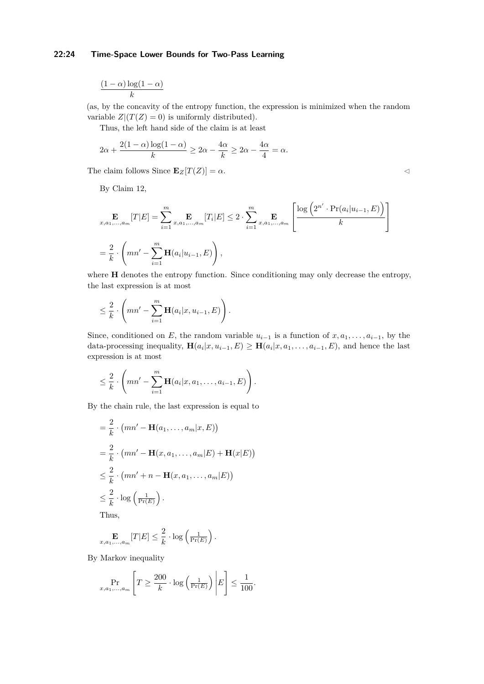### **22:24 Time-Space Lower Bounds for Two-Pass Learning**

$$
\frac{(1-\alpha)\log(1-\alpha)}{k}
$$

(as, by the concavity of the entropy function, the expression is minimized when the random variable  $Z|(T(Z) = 0)$  is uniformly distributed).

Thus, the left hand side of the claim is at least

$$
2\alpha + \frac{2(1-\alpha)\log(1-\alpha)}{k} \ge 2\alpha - \frac{4\alpha}{k} \ge 2\alpha - \frac{4\alpha}{4} = \alpha.
$$

The claim follows Since  $\mathbf{E}_Z[T(Z)] = \alpha$ .

By Claim [12,](#page-22-0)

$$
\mathbf{E}_{x,a_1,...,a_m}[T|E] = \sum_{i=1}^m \mathbf{E}_{x,a_1,...,a_m}[T_i|E] \le 2 \cdot \sum_{i=1}^m \mathbf{E}_{x,a_1,...,a_m} \left[ \frac{\log (2^{n'} \cdot \Pr(a_i|u_{i-1}, E))}{k} \right]
$$
  
=  $\frac{2}{k} \cdot \left( mn' - \sum_{i=1}^m \mathbf{H}(a_i|u_{i-1}, E) \right),$ 

where **H** denotes the entropy function. Since conditioning may only decrease the entropy, the last expression is at most

$$
\leq \frac{2}{k} \cdot \left( mn' - \sum_{i=1}^{m} \mathbf{H}(a_i | x, u_{i-1}, E) \right).
$$

Since, conditioned on *E*, the random variable  $u_{i-1}$  is a function of  $x, a_1, \ldots, a_{i-1}$ , by the data-processing inequality,  $\mathbf{H}(a_i|x, u_{i-1}, E) \geq \mathbf{H}(a_i|x, a_1, \ldots, a_{i-1}, E)$ , and hence the last expression is at most

$$
\leq \frac{2}{k} \cdot \left( mn' - \sum_{i=1}^m \mathbf{H}(a_i | x, a_1, \dots, a_{i-1}, E) \right).
$$

By the chain rule, the last expression is equal to

$$
= \frac{2}{k} \cdot (mn' - \mathbf{H}(a_1, ..., a_m|x, E))
$$
  
\n
$$
= \frac{2}{k} \cdot (mn' - \mathbf{H}(x, a_1, ..., a_m|E) + \mathbf{H}(x|E))
$$
  
\n
$$
\leq \frac{2}{k} \cdot (mn' + n - \mathbf{H}(x, a_1, ..., a_m|E))
$$
  
\n
$$
\leq \frac{2}{k} \cdot \log\left(\frac{1}{\Pr(E)}\right).
$$
  
\nThus

Thus,

$$
\mathop{\mathbf{E}}_{x,a_1,...,a_m}[T|E] \leq \frac{2}{k} \cdot \log\left(\tfrac{1}{\Pr(E)}\right).
$$

By Markov inequality

$$
\Pr_{x,a_1,\dots,a_m} \left[ T \ge \frac{200}{k} \cdot \log \left( \frac{1}{\Pr(E)} \right) \middle| E \right] \le \frac{1}{100}.
$$

$$
\triangleleft
$$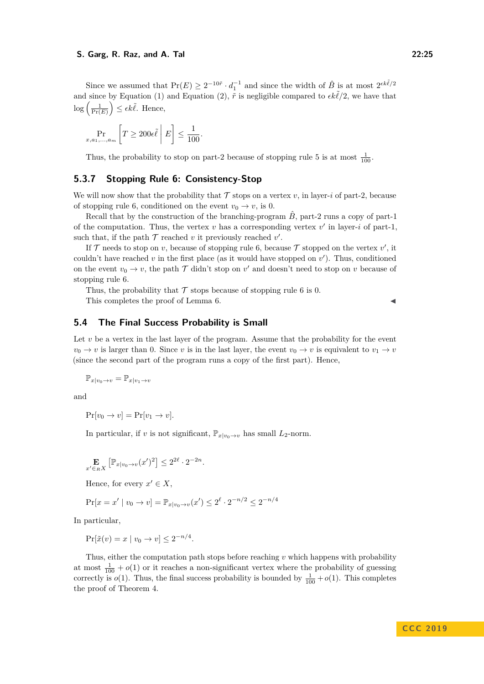Since we assumed that  $Pr(E) \ge 2^{-10\tilde{r}} \cdot d_1^{-1}$  and since the width of  $\hat{B}$  is at most  $2^{\epsilon k \tilde{\ell}/2}$ and since by Equation [\(1\)](#page-6-1) and Equation [\(2\)](#page-6-2),  $\tilde{r}$  is negligible compared to  $\epsilon k\tilde{\ell}/2$ , we have that  $\log\left(\frac{1}{\Pr(E)}\right) \leq \epsilon k \tilde{\ell}$ . Hence,

$$
\Pr_{x, a_1, \dots, a_m} \left[ T \ge 200 \epsilon \tilde{\ell} \, \middle| \, E \right] \le \frac{1}{100}.
$$

Thus, the probability to stop on part-2 because of stopping rule [5](#page-13-5) is at most  $\frac{1}{100}$ .

### **5.3.7 Stopping Rule [6:](#page-13-0) Consistency-Stop**

We will now show that the probability that  $\mathcal T$  stops on a vertex  $v$ , in layer-*i* of part-2, because of stopping rule [6,](#page-13-0) conditioned on the event  $v_0 \to v$ , is 0.

Recall that by the construction of the branching-program  $\hat{B}$ , part-2 runs a copy of part-1 of the computation. Thus, the vertex  $v$  has a corresponding vertex  $v'$  in layer-*i* of part-1, such that, if the path  $\mathcal T$  reached  $v$  it previously reached  $v'$ .

If  $\mathcal T$  needs to stop on *v*, because of stopping rule [6,](#page-13-0) because  $\mathcal T$  stopped on the vertex  $v'$ , it couldn't have reached  $v$  in the first place (as it would have stopped on  $v'$ ). Thus, conditioned on the event  $v_0 \to v$ , the path  $\mathcal T$  didn't stop on  $v'$  and doesn't need to stop on  $v$  because of stopping rule [6.](#page-13-0)

Thus, the probability that  $\mathcal T$  stops because of stopping rule [6](#page-13-0) is 0.

This completes the proof of Lemma [6.](#page-14-2)

### **5.4 The Final Success Probability is Small**

Let *v* be a vertex in the last layer of the program. Assume that the probability for the event  $v_0 \rightarrow v$  is larger than 0. Since *v* is in the last layer, the event  $v_0 \rightarrow v$  is equivalent to  $v_1 \rightarrow v$ (since the second part of the program runs a copy of the first part). Hence,

$$
\mathbb{P}_{x|v_0\to v} = \mathbb{P}_{x|v_1\to v}
$$

and

$$
Pr[v_0 \to v] = Pr[v_1 \to v].
$$

In particular, if *v* is not significant,  $\mathbb{P}_{x|y_0 \to y}$  has small  $L_2$ -norm.

$$
\mathop{\mathbf{E}}_{x' \in RX} \left[ \mathbb{P}_{x|v_0 \to v}(x')^2 \right] \leq 2^{2\ell} \cdot 2^{-2n}.
$$

Hence, for every  $x' \in X$ ,

$$
\Pr[x = x' \mid v_0 \to v] = \mathbb{P}_{x \mid v_0 \to v}(x') \le 2^{\ell} \cdot 2^{-n/2} \le 2^{-n/4}
$$

In particular,

$$
\Pr[\tilde{x}(v) = x \mid v_0 \to v] \le 2^{-n/4}.
$$

Thus, either the computation path stops before reaching *v* which happens with probability at most  $\frac{1}{100} + o(1)$  or it reaches a non-significant vertex where the probability of guessing correctly is  $o(1)$ . Thus, the final success probability is bounded by  $\frac{1}{100} + o(1)$ . This completes the proof of Theorem [4.](#page-6-0)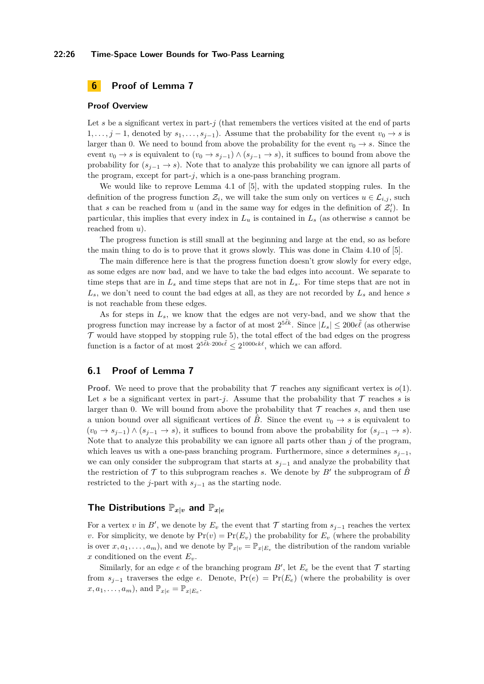#### **22:26 Time-Space Lower Bounds for Two-Pass Learning**

### <span id="page-25-0"></span>**6 Proof of Lemma [7](#page-14-0)**

#### **Proof Overview**

Let  $s$  be a significant vertex in part- $j$  (that remembers the vertices visited at the end of parts 1, ..., *j* − 1, denoted by  $s_1, \ldots, s_{i-1}$ ). Assume that the probability for the event  $v_0 \rightarrow s$  is larger than 0. We need to bound from above the probability for the event  $v_0 \rightarrow s$ . Since the event  $v_0 \to s$  is equivalent to  $(v_0 \to s_{j-1}) \wedge (s_{j-1} \to s)$ , it suffices to bound from above the probability for  $(s_{i-1} \to s)$ . Note that to analyze this probability we can ignore all parts of the program, except for part-*j*, which is a one-pass branching program.

We would like to reprove Lemma 4.1 of [\[5\]](#page-34-5), with the updated stopping rules. In the definition of the progress function  $\mathcal{Z}_i$ , we will take the sum only on vertices  $u \in \mathcal{L}_{i,j}$ , such that *s* can be reached from *u* (and in the same way for edges in the definition of  $\mathcal{Z}'_i$ ). In particular, this implies that every index in *L<sup>u</sup>* is contained in *L<sup>s</sup>* (as otherwise *s* cannot be reached from *u*).

The progress function is still small at the beginning and large at the end, so as before the main thing to do is to prove that it grows slowly. This was done in Claim 4.10 of [\[5\]](#page-34-5).

The main difference here is that the progress function doesn't grow slowly for every edge, as some edges are now bad, and we have to take the bad edges into account. We separate to time steps that are in  $L_s$  and time steps that are not in  $L_s$ . For time steps that are not in  $L_s$ , we don't need to count the bad edges at all, as they are not recorded by  $L_s$  and hence *s* is not reachable from these edges.

As for steps in *Ls*, we know that the edges are not very-bad, and we show that the progress function may increase by a factor of at most  $2^{5\tilde{k}k}$ . Since  $|L_s| \leq 200\epsilon\tilde{\ell}$  (as otherwise  $\mathcal T$  would have stopped by stopping rule [5\)](#page-13-5), the total effect of the bad edges on the progress function is a factor of at most  $2^{5\tilde{\ell}k \cdot 200\epsilon \tilde{\ell}} \leq 2^{1000\epsilon k\ell}$ , which we can afford.

#### **6.1 Proof of Lemma [7](#page-14-0)**

**Proof.** We need to prove that the probability that  $\mathcal T$  reaches any significant vertex is  $o(1)$ . Let s be a significant vertex in part-*j*. Assume that the probability that  $\mathcal T$  reaches s is larger than 0. We will bound from above the probability that  $\mathcal T$  reaches  $s$ , and then use a union bound over all significant vertices of  $\ddot{B}$ . Since the event  $v_0 \rightarrow s$  is equivalent to  $(v_0 \rightarrow s_{i-1}) \wedge (s_{i-1} \rightarrow s)$ , it suffices to bound from above the probability for  $(s_{i-1} \rightarrow s)$ . Note that to analyze this probability we can ignore all parts other than *j* of the program, which leaves us with a one-pass branching program. Furthermore, since *s* determines  $s_{i-1}$ , we can only consider the subprogram that starts at *sj*−<sup>1</sup> and analyze the probability that the restriction of  $\mathcal T$  to this subprogram reaches *s*. We denote by  $B'$  the subprogram of  $\hat B$ restricted to the *j*-part with  $s_{j-1}$  as the starting node.

### **The Distributions**  $\mathbb{P}_{x|v}$  and  $\mathbb{P}_{x|e}$

For a vertex *v* in *B*<sup>*'*</sup>, we denote by  $E_v$  the event that  $\mathcal T$  starting from  $s_{j-1}$  reaches the vertex *v*. For simplicity, we denote by  $Pr(v) = Pr(E_v)$  the probability for  $E_v$  (where the probability is over  $x, a_1, \ldots, a_m$ , and we denote by  $\mathbb{P}_{x|v} = \mathbb{P}_{x|E_v}$  the distribution of the random variable *x* conditioned on the event  $E_v$ .

Similarly, for an edge  $e$  of the branching program  $B'$ , let  $E_e$  be the event that  $\mathcal T$  starting from  $s_{i-1}$  traverses the edge *e*. Denote,  $Pr(e) = Pr(E_e)$  (where the probability is over  $(x, a_1, \ldots, a_m)$ , and  $\mathbb{P}_{x|e} = \mathbb{P}_{x|E_e}$ .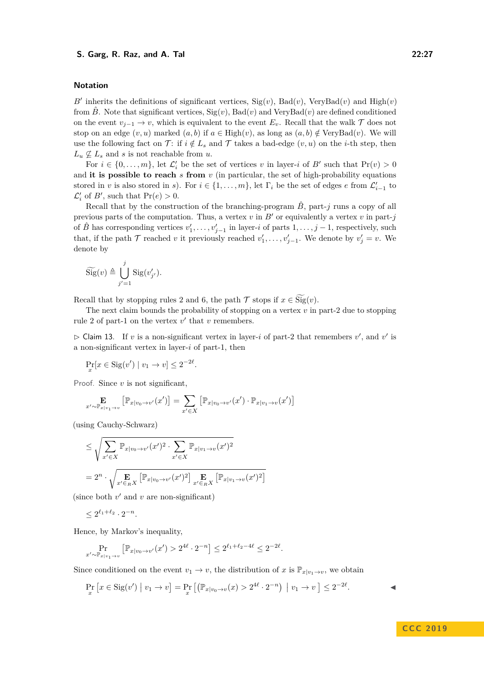#### **Notation**

 $B'$  inherits the definitions of significant vertices,  $Sig(v)$ ,  $Bad(v)$ , VeryBad $(v)$  and High $(v)$ from  $\hat{B}$ . Note that significant vertices,  $\text{Sig}(v)$ ,  $\text{Bad}(v)$  and  $\text{VeryBad}(v)$  are defined conditioned on the event  $v_{i-1} \to v$ , which is equivalent to the event  $E_v$ . Recall that the walk  $\mathcal T$  does not stop on an edge  $(v, u)$  marked  $(a, b)$  if  $a \in \text{High}(v)$ , as long as  $(a, b) \notin \text{VeryBad}(v)$ . We will use the following fact on  $\mathcal{T}$ : if  $i \notin L_s$  and  $\mathcal{T}$  takes a bad-edge  $(v, u)$  on the *i*-th step, then  $L_u \nsubseteq L_s$  and *s* is not reachable from *u*.

For  $i \in \{0, \ldots, m\}$ , let  $\mathcal{L}'_i$  be the set of vertices *v* in layer-*i* of *B'* such that  $Pr(v) > 0$ and **it is possible to reach**  $s$  from  $v$  (in particular, the set of high-probability equations stored in *v* is also stored in *s*). For  $i \in \{1, \ldots, m\}$ , let  $\Gamma_i$  be the set of edges *e* from  $\mathcal{L}'_{i-1}$  to  $\mathcal{L}'_i$  of *B'*, such that  $Pr(e) > 0$ .

Recall that by the construction of the branching-program  $\hat{B}$ , part-*j* runs a copy of all previous parts of the computation. Thus, a vertex  $v$  in  $B'$  or equivalently a vertex  $v$  in part- $j$ of  $\hat{B}$  has corresponding vertices  $v'_1, \ldots, v'_{j-1}$  in layer-*i* of parts  $1, \ldots, j-1$ , respectively, such that, if the path  $\mathcal{T}$  reached *v* it previously reached  $v'_1, \ldots, v'_{j-1}$ . We denote by  $v'_j = v$ . We denote by

$$
\widetilde{\mathrm{Sig}}(v) \triangleq \bigcup_{j'=1}^{j} \mathrm{Sig}(v'_{j'}).
$$

Recall that by stopping rules [2](#page-13-2) and [6,](#page-13-0) the path  $\mathcal{T}$  stops if  $x \in \widetilde{\mathrm{Sig}}(v)$ .

The next claim bounds the probability of stopping on a vertex *v* in part-2 due to stopping rule [2](#page-13-2) of part-1 on the vertex  $v'$  that  $v$  remembers.

<span id="page-26-0"></span> $\triangleright$  Claim 13. If *v* is a non-significant vertex in layer-*i* of part-2 that remembers *v'*, and *v'* is a non-significant vertex in layer-*i* of part-1, then

$$
\Pr_x[x \in \text{Sig}(v') \mid v_1 \to v] \le 2^{-2\ell}.
$$

Proof. Since *v* is not significant,

$$
\mathop{\mathbf{E}}_{x' \sim \mathbb{P}_{x|v_1 \to v}} \left[ \mathbb{P}_{x|v_0 \to v'}(x') \right] = \sum_{x' \in X} \left[ \mathbb{P}_{x|v_0 \to v'}(x') \cdot \mathbb{P}_{x|v_1 \to v}(x') \right]
$$

(using Cauchy-Schwarz)

$$
\leq \sqrt{\sum_{x'\in X} \mathbb{P}_{x|v_0\to v'}(x')^2 \cdot \sum_{x'\in X} \mathbb{P}_{x|v_1\to v}(x')^2}
$$

$$
= 2^n \cdot \sqrt{\mathop{\mathbf{E}}_{x'\in R} \left[\mathbb{P}_{x|v_0\to v'}(x')^2\right] \mathop{\mathbf{E}}_{x'\in R} \left[\mathbb{P}_{x|v_1\to v}(x')^2\right]}
$$

(since both  $v'$  and  $v$  are non-significant)

 $\leq 2^{\ell_1+\ell_2} \cdot 2^{-n}.$ 

Hence, by Markov's inequality,

$$
\Pr_{x' \sim \mathbb{P}_{x|v_1 \to v}} \left[ \mathbb{P}_{x|v_0 \to v'}(x') > 2^{4\ell} \cdot 2^{-n} \right] \le 2^{\ell_1 + \ell_2 - 4\ell} \le 2^{-2\ell}.
$$

Since conditioned on the event  $v_1 \to v$ , the distribution of *x* is  $\mathbb{P}_{x|v_1 \to v}$ , we obtain

<span id="page-26-1"></span>
$$
\Pr_x \left[ x \in \text{Sig}(v') \mid v_1 \to v \right] = \Pr_x \left[ \left( \mathbb{P}_{x \mid v_0 \to v}(x) > 2^{4\ell} \cdot 2^{-n} \right) \mid v_1 \to v \right] \le 2^{-2\ell}.
$$

**C C C 2 0 1 9**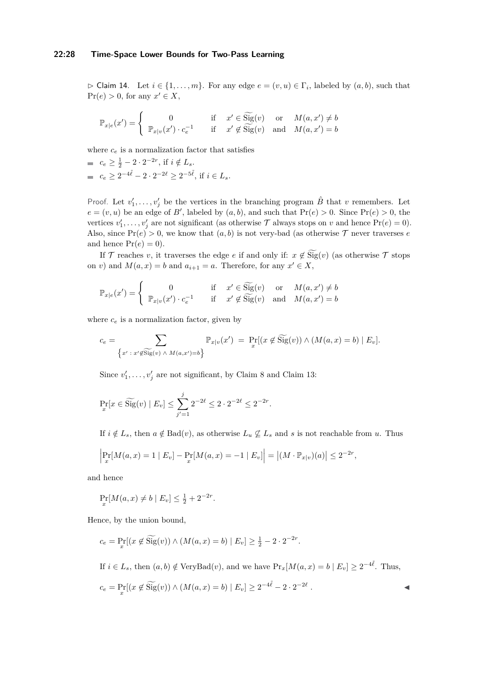#### **22:28 Time-Space Lower Bounds for Two-Pass Learning**

 $\triangleright$  Claim 14. Let  $i \in \{1, \ldots, m\}$ . For any edge  $e = (v, u) \in \Gamma_i$ , labeled by  $(a, b)$ , such that  $Pr(e) > 0$ , for any  $x' \in X$ ,

$$
\mathbb{P}_{x|e}(x') = \begin{cases} 0 & \text{if } x' \in \widetilde{\text{Sig}}(v) \text{ or } M(a, x') \neq b \\ \mathbb{P}_{x|v}(x') \cdot c_e^{-1} & \text{if } x' \notin \widetilde{\text{Sig}}(v) \text{ and } M(a, x') = b \end{cases}
$$

where  $c_e$  is a normalization factor that satisfies

 $c_e \geq \frac{1}{2} - 2 \cdot 2^{-2r}$ , if  $i \notin L_s$ .  $c_e \ge 2^{-4\tilde{\ell}} - 2 \cdot 2^{-2\ell} \ge 2^{-5\tilde{\ell}}$ , if  $i \in L_s$ .

Proof. Let  $v'_1, \ldots, v'_j$  be the vertices in the branching program  $\hat{B}$  that *v* remembers. Let  $e = (v, u)$  be an edge of *B*', labeled by  $(a, b)$ , and such that  $Pr(e) > 0$ . Since  $Pr(e) > 0$ , the vertices  $v'_1, \ldots, v'_j$  are not significant (as otherwise  $\mathcal T$  always stops on  $v$  and hence  $Pr(e) = 0$ ). Also, since  $Pr(e) > 0$ , we know that  $(a, b)$  is not very-bad (as otherwise  $\mathcal T$  never traverses *e* and hence  $Pr(e) = 0$ .

If  $\mathcal T$  reaches *v*, it traverses the edge *e* if and only if:  $x \notin \widetilde{\text{Sig}}(v)$  (as otherwise  $\mathcal T$  stops on *v*) and  $M(a, x) = b$  and  $a_{i+1} = a$ . Therefore, for any  $x' \in X$ ,

$$
\mathbb{P}_{x|e}(x') = \begin{cases} 0 & \text{if } x' \in \widetilde{\text{Sig}}(v) \text{ or } M(a, x') \neq b \\ \mathbb{P}_{x|v}(x') \cdot c_e^{-1} & \text{if } x' \notin \widetilde{\text{Sig}}(v) \text{ and } M(a, x') = b \end{cases}
$$

where  $c_e$  is a normalization factor, given by

$$
c_e = \sum_{\{x' \,:\, x' \notin \widetilde{\text{Sig}}(v) \,\wedge\, M(a,x') = b\}} \mathbb{P}_{x|v}(x') = \Pr_x[(x \notin \widetilde{\text{Sig}}(v)) \wedge (M(a,x) = b) \mid E_v].
$$

Since  $v'_1, \ldots, v'_j$  are not significant, by Claim [8](#page-14-1) and Claim [13:](#page-26-0)

$$
\Pr_{x}[x \in \widetilde{\text{Sig}}(v) \mid E_{v}] \le \sum_{j'=1}^{j} 2^{-2\ell} \le 2 \cdot 2^{-2\ell} \le 2^{-2r}.
$$

If  $i \notin L_s$ , then  $a \notin \text{Bad}(v)$ , as otherwise  $L_u \nsubseteq L_s$  and *s* is not reachable from *u*. Thus

$$
\left| \Pr_x[M(a, x) = 1 \mid E_v] - \Pr_x[M(a, x) = -1 \mid E_v] \right| = \left| (M \cdot \mathbb{P}_{x|v})(a) \right| \le 2^{-2r},
$$

and hence

$$
\Pr_x[M(a, x) \neq b \mid E_v] \le \frac{1}{2} + 2^{-2r}.
$$

Hence, by the union bound,

$$
c_e = \Pr_x[(x \notin \widetilde{\text{Sig}}(v)) \land (M(a, x) = b) \mid E_v] \ge \frac{1}{2} - 2 \cdot 2^{-2r}.
$$

If  $i \in L_s$ , then  $(a, b) \notin \text{VeryBad}(v)$ , and we have  $\Pr_x[M(a, x) = b \mid E_v] \geq 2^{-4\tilde{\ell}}$ . Thus,  $c_e = \Pr_x[(x \notin \widetilde{\text{Sig}}(v)) \wedge (M(a, x) = b) | E_v] \ge 2^{-4\tilde{\ell}} - 2 \cdot 2^{-2\ell}$ *.* J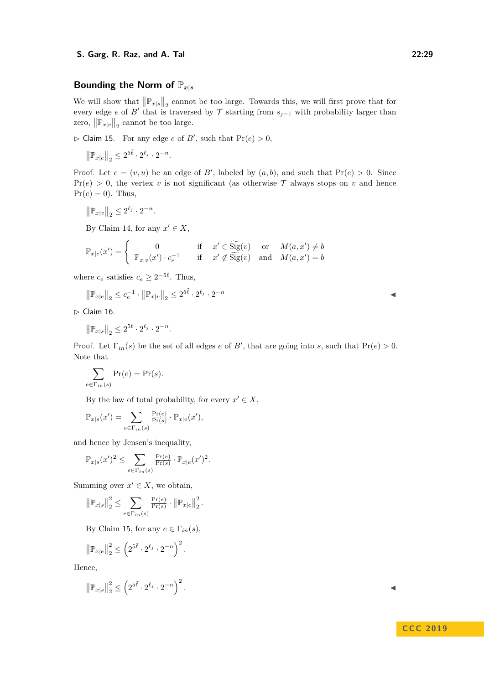### Bounding the Norm of  $\mathbb{P}_{x|s}$

We will show that  $\left\| \mathbb{P}_{x|s} \right\|_2$  cannot be too large. Towards this, we will first prove that for every edge *e* of *B*<sup> $\prime$ </sup> that is traversed by  $\mathcal T$  starting from  $s_{j-1}$  with probability larger than zero,  $\left\| \mathbb{P}_{x|e} \right\|_2$  cannot be too large.

<span id="page-28-0"></span> $\triangleright$  Claim 15. For any edge *e* of *B'*, such that  $\Pr(e) > 0$ ,

$$
\left\| \mathbb{P}_{x|e} \right\|_2 \leq 2^{5\tilde{\ell}} \cdot 2^{\ell_j} \cdot 2^{-n}.
$$

Proof. Let  $e = (v, u)$  be an edge of B', labeled by  $(a, b)$ , and such that  $Pr(e) > 0$ . Since  $Pr(e) > 0$ , the vertex *v* is not significant (as otherwise  $\mathcal{T}$  always stops on *v* and hence  $Pr(e) = 0$ . Thus,

$$
\left\| \mathbb{P}_{x|v} \right\|_2 \leq 2^{\ell_j} \cdot 2^{-n}.
$$

By Claim [14,](#page-26-1) for any  $x' \in X$ ,

$$
\mathbb{P}_{x|e}(x') = \begin{cases} 0 & \text{if } x' \in \widetilde{\text{Sig}}(v) \text{ or } M(a, x') \neq b \\ \mathbb{P}_{x|v}(x') \cdot c_e^{-1} & \text{if } x' \notin \widetilde{\text{Sig}}(v) \text{ and } M(a, x') = b \end{cases}
$$

where  $c_e$  satisfies  $c_e \geq 2^{-5\tilde{\ell}}$ . Thus,

$$
\left\|\mathbb{P}_{x|e}\right\|_{2} \leq c_{e}^{-1} \cdot \left\|\mathbb{P}_{x|v}\right\|_{2} \leq 2^{5\tilde{\ell}} \cdot 2^{\ell_{j}} \cdot 2^{-n}
$$

<span id="page-28-1"></span> $\triangleright$  Claim 16.

$$
\|\mathbb{P}_{x|s}\|_2 \leq 2^{5\tilde{\ell}} \cdot 2^{\ell_j} \cdot 2^{-n}.
$$

Proof. Let  $\Gamma_{in}(s)$  be the set of all edges *e* of *B'*, that are going into *s*, such that  $\Pr(e) > 0$ . Note that

$$
\sum_{e \in \Gamma_{in}(s)} \Pr(e) = \Pr(s).
$$

By the law of total probability, for every  $x' \in X$ ,

*.*

$$
\mathbb{P}_{x|s}(x') = \sum_{e \in \Gamma_{in}(s)} \frac{\Pr(e)}{\Pr(s)} \cdot \mathbb{P}_{x|e}(x'),
$$

and hence by Jensen's inequality,

$$
\mathbb{P}_{x|s}(x')^2 \leq \sum_{e \in \Gamma_{in}(s)} \frac{\Pr(e)}{\Pr(s)} \cdot \mathbb{P}_{x|e}(x')^2.
$$

Summing over  $x' \in X$ , we obtain,

$$
\left\|\mathbb{P}_{x|s}\right\|_{2}^{2} \leq \sum_{e \in \Gamma_{in}(s)} \frac{\Pr(e)}{\Pr(s)} \cdot \left\|\mathbb{P}_{x|e}\right\|_{2}^{2}
$$

By Claim [15,](#page-28-0) for any  $e \in \Gamma_{in}(s)$ ,

$$
\left\|\mathbb{P}_{x|e}\right\|_2^2 \le \left(2^{5\tilde{\ell}} \cdot 2^{\ell_j} \cdot 2^{-n}\right)^2.
$$

Hence,

$$
\left\|\mathbb{P}_{x|s}\right\|_{2}^{2} \leq \left(2^{5\tilde{\ell}} \cdot 2^{\ell_{j}} \cdot 2^{-n}\right)^{2}.
$$

### **C C C 2 0 1 9**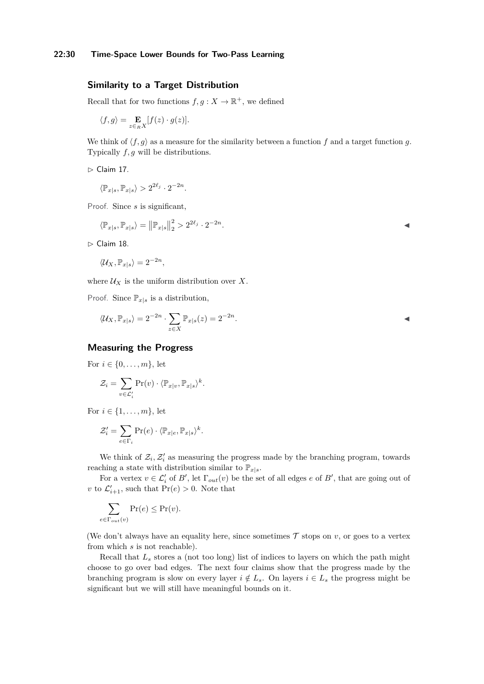### **Similarity to a Target Distribution**

Recall that for two functions  $f, g: X \to \mathbb{R}^+$ , we defined

$$
\langle f,g\rangle=\mathop{\mathbf{E}}_{z\in_R X}[f(z)\cdot g(z)].
$$

We think of  $\langle f, g \rangle$  as a measure for the similarity between a function *f* and a target function *g*. Typically *f, g* will be distributions.

<span id="page-29-1"></span> $\triangleright$  Claim 17.

$$
\langle \mathbb{P}_{x|s}, \mathbb{P}_{x|s} \rangle > 2^{2\ell_j} \cdot 2^{-2n}.
$$

Proof. Since *s* is significant,

$$
\langle \mathbb{P}_{x|s}, \mathbb{P}_{x|s} \rangle = ||\mathbb{P}_{x|s}||_2^2 > 2^{2\ell_j} \cdot 2^{-2n}.
$$

 $\triangleright$  Claim 18.

$$
\langle \mathcal{U}_X, \mathbb{P}_{x|s} \rangle = 2^{-2n},
$$

where  $\mathcal{U}_X$  is the uniform distribution over X.

Proof. Since  $\mathbb{P}_{x|s}$  is a distribution,

$$
\langle \mathcal{U}_X, \mathbb{P}_{x|s} \rangle = 2^{-2n} \cdot \sum_{z \in X} \mathbb{P}_{x|s}(z) = 2^{-2n}.
$$

#### **Measuring the Progress**

For  $i \in \{0, ..., m\}$ , let

$$
\mathcal{Z}_i = \sum_{v \in \mathcal{L}'_i} \Pr(v) \cdot \langle \mathbb{P}_{x|v}, \mathbb{P}_{x|s} \rangle^k.
$$

For  $i \in \{1, ..., m\}$ , let

$$
\mathcal{Z}'_i = \sum_{e \in \Gamma_i} \Pr(e) \cdot \langle \mathbb{P}_{x|e}, \mathbb{P}_{x|s} \rangle^k.
$$

We think of  $\mathcal{Z}_i$ ,  $\mathcal{Z}'_i$  as measuring the progress made by the branching program, towards reaching a state with distribution similar to  $\mathbb{P}_{x|s}$ .

For a vertex  $v \in \mathcal{L}'_i$  of  $B'$ , let  $\Gamma_{out}(v)$  be the set of all edges  $e$  of  $B'$ , that are going out of *v* to  $\mathcal{L}'_{i+1}$ , such that  $Pr(e) > 0$ . Note that

$$
\sum_{e \in \Gamma_{out}(v)} \Pr(e) \le \Pr(v).
$$

(We don't always have an equality here, since sometimes  $\mathcal T$  stops on  $v$ , or goes to a vertex from which *s* is not reachable).

<span id="page-29-0"></span>Recall that  $L<sub>s</sub>$  stores a (not too long) list of indices to layers on which the path might choose to go over bad edges. The next four claims show that the progress made by the branching program is slow on every layer  $i \notin L_s$ . On layers  $i \in L_s$  the progress might be significant but we will still have meaningful bounds on it.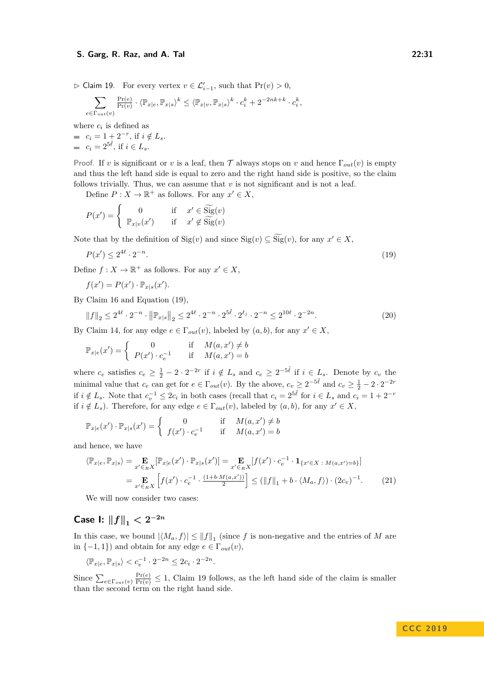$\triangleright$  Claim 19. For every vertex  $v \in \mathcal{L}'_{i-1}$ , such that  $Pr(v) > 0$ ,

$$
\sum_{e\in \Gamma_{out}(v)}\tfrac{\Pr(e)}{\Pr(v)}\cdot \langle \mathbb{P}_{x|e},\mathbb{P}_{x|s}\rangle^k \leq \langle \mathbb{P}_{x|v},\mathbb{P}_{x|s}\rangle^k\cdot c_i^k + 2^{-2nk+k}\cdot c_i^k,
$$

where  $c_i$  is defined as  $c_i = 1 + 2^{-r}$ , if  $i \notin L_s$ .  $c_i = 2^{5\tilde{\ell}}$ , if  $i \in L_s$ .

Proof. If *v* is significant or *v* is a leaf, then  $\mathcal T$  always stops on *v* and hence  $\Gamma_{out}(v)$  is empty and thus the left hand side is equal to zero and the right hand side is positive, so the claim follows trivially. Thus, we can assume that  $v$  is not significant and is not a leaf.

Define  $P: X \to \mathbb{R}^+$  as follows. For any  $x' \in X$ ,

<span id="page-30-0"></span>
$$
P(x') = \begin{cases} 0 & \text{if } x' \in \widetilde{\text{Sig}}(v) \\ \mathbb{P}_{x|v}(x') & \text{if } x' \notin \widetilde{\text{Sig}}(v) \end{cases}
$$

Note that by the definition of  $\text{Sig}(v)$  and since  $\text{Sig}(v) \subseteq \text{Sig}(v)$ , for any  $x' \in X$ ,

$$
P(x') \le 2^{4\ell} \cdot 2^{-n}.\tag{19}
$$

Define  $f: X \to \mathbb{R}^+$  as follows. For any  $x' \in X$ ,

<span id="page-30-2"></span>
$$
f(x') = P(x') \cdot \mathbb{P}_{x|s}(x').
$$

By Claim [16](#page-28-1) and Equation [\(19\)](#page-30-0),

$$
||f||_2 \le 2^{4\ell} \cdot 2^{-n} \cdot ||\mathbb{P}_{x|s}||_2 \le 2^{4\ell} \cdot 2^{-n} \cdot 2^{5\tilde{\ell}} \cdot 2^{\ell_j} \cdot 2^{-n} \le 2^{10\ell} \cdot 2^{-2n}.
$$
 (20)

By Claim [14,](#page-26-1) for any edge  $e \in \Gamma_{out}(v)$ , labeled by  $(a, b)$ , for any  $x' \in X$ ,

$$
\mathbb{P}_{x|e}(x') = \begin{cases} 0 & \text{if} \quad M(a,x') \neq b \\ P(x') \cdot c_e^{-1} & \text{if} \quad M(a,x') = b \end{cases}
$$

where  $c_e$  satisfies  $c_e \geq \frac{1}{2} - 2 \cdot 2^{-2r}$  if  $i \notin L_s$  and  $c_e \geq 2^{-5\tilde{\ell}}$  if  $i \in L_s$ . Denote by  $c_v$  the minimal value that  $c_e$  can get for  $e \in \Gamma_{out}(v)$ . By the above,  $c_v \geq 2^{-5\tilde{\ell}}$  and  $c_v \geq \frac{1}{2} - 2 \cdot 2^{-2r}$ if *i* ∉ *L*<sub>*s*</sub>. Note that  $c_v^{-1}$  ≤ 2 $c_i$  in both cases (recall that  $c_i = 2^{5\tilde{\ell}}$  for  $i \in L_s$  and  $c_i = 1 + 2^{-r}$ if  $i \notin L_s$ ). Therefore, for any edge  $e \in \Gamma_{out}(v)$ , labeled by  $(a, b)$ , for any  $x' \in X$ ,

$$
\mathbb{P}_{x|e}(x') \cdot \mathbb{P}_{x|s}(x') = \begin{cases} 0 & \text{if } M(a,x') \neq b \\ f(x') \cdot c_e^{-1} & \text{if } M(a,x') = b \end{cases}
$$

and hence, we have

<span id="page-30-1"></span>
$$
\langle \mathbb{P}_{x|e}, \mathbb{P}_{x|s} \rangle = \mathop{\mathbf{E}}_{x' \in R} [\mathbb{P}_{x|e}(x') \cdot \mathbb{P}_{x|s}(x')] = \mathop{\mathbf{E}}_{x' \in R} [f(x') \cdot c_e^{-1} \cdot \mathbf{1}_{\{x' \in X \ : M(a,x') = b\}}]
$$

$$
= \mathop{\mathbf{E}}_{x' \in R} \mathop{\mathbf{E}} \left[ f(x') \cdot c_e^{-1} \cdot \frac{(1 + b \cdot M(a,x'))}{2} \right] \leq (||f||_1 + b \cdot \langle M_a, f \rangle) \cdot (2c_v)^{-1}.
$$
 (21)

We will now consider two cases:

## **Case I:**  $||f||_1 < 2^{-2n}$

In this case, we bound  $|\langle M_a, f \rangle| \le ||f||_1$  (since *f* is non-negative and the entries of *M* are in  $\{-1, 1\}$  and obtain for any edge  $e \in \Gamma_{out}(v)$ ,

$$
\langle \mathbb{P}_{x|e}, \mathbb{P}_{x|s} \rangle < c_v^{-1} \cdot 2^{-2n} \le 2c_i \cdot 2^{-2n}.
$$

Since  $\sum_{e \in \Gamma_{out}(v)} \frac{\Pr(e)}{\Pr(v)} \leq 1$ , Claim [19](#page-29-0) follows, as the left hand side of the claim is smaller than the second term on the right hand side.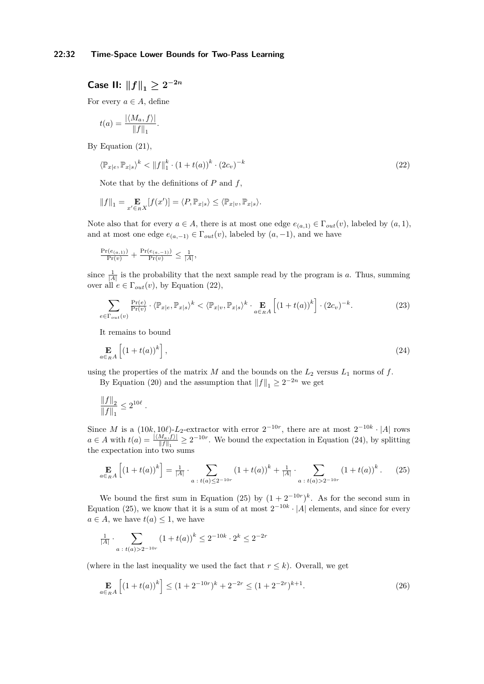$\textsf{Case II: } \|f\|_1 \geq 2^{-2n}$ 

For every  $a \in A$ , define

$$
t(a) = \frac{|\langle M_a, f \rangle|}{\|f\|_1}.
$$

By Equation [\(21\)](#page-30-1),

<span id="page-31-0"></span>
$$
\langle \mathbb{P}_{x|e}, \mathbb{P}_{x|s} \rangle^k < \|f\|_1^k \cdot (1 + t(a))^k \cdot (2c_v)^{-k} \tag{22}
$$

Note that by the definitions of *P* and *f*,

$$
||f||_1 = \mathop{\mathbf{E}}_{x' \in_R X} [f(x')] = \langle P, \mathbb{P}_{x|s} \rangle \le \langle \mathbb{P}_{x|v}, \mathbb{P}_{x|s} \rangle.
$$

Note also that for every  $a \in A$ , there is at most one edge  $e_{(a,1)} \in \Gamma_{out}(v)$ , labeled by  $(a,1)$ , and at most one edge  $e_{(a,-1)} \in \Gamma_{out}(v)$ , labeled by  $(a,-1)$ , and we have

$$
\tfrac{\Pr(e_{(a,1)})}{\Pr(v)} + \tfrac{\Pr(e_{(a,-1)})}{\Pr(v)} \leq \tfrac{1}{|A|},
$$

since  $\frac{1}{|A|}$  is the probability that the next sample read by the program is *a*. Thus, summing over all  $e \in \Gamma_{out}(v)$ , by Equation [\(22\)](#page-31-0),

<span id="page-31-4"></span>
$$
\sum_{e \in \Gamma_{out}(v)} \frac{\Pr(e)}{\Pr(v)} \cdot \langle \mathbb{P}_{x|e}, \mathbb{P}_{x|s} \rangle^k < \langle \mathbb{P}_{x|v}, \mathbb{P}_{x|s} \rangle^k \cdot \mathop{\mathbf{E}}_{a \in_R A} \left[ \left( 1 + t(a) \right)^k \right] \cdot (2c_v)^{-k}.\tag{23}
$$

<span id="page-31-1"></span>It remains to bound

$$
\mathop{\mathbf{E}}_{a \in_R A} \left[ \left( 1 + t(a) \right)^k \right],\tag{24}
$$

using the properties of the matrix  $M$  and the bounds on the  $L_2$  versus  $L_1$  norms of  $f$ . By Equation [\(20\)](#page-30-2) and the assumption that  $||f||_1 \geq 2^{-2n}$  we get

$$
\frac{\|f\|_2}{\|f\|_1} \leq 2^{10\ell} \;.
$$

Since *M* is a  $(10k, 10\ell)$ -*L*<sub>2</sub>-extractor with error  $2^{-10r}$ , there are at most  $2^{-10k} \cdot |A|$  rows  $a \in A$  with  $t(a) = \frac{|\langle M_a, f \rangle|}{\|f\|_1} \ge 2^{-10r}$ . We bound the expectation in Equation [\(24\)](#page-31-1), by splitting the expectation into two sums

<span id="page-31-2"></span>
$$
\mathop{\mathbf{E}}_{a \in_R A} \left[ (1+t(a))^k \right] = \frac{1}{|A|} \cdot \sum_{a \; : \; t(a) \le 2^{-10r}} (1+t(a))^k + \frac{1}{|A|} \cdot \sum_{a \; : \; t(a) > 2^{-10r}} (1+t(a))^k. \tag{25}
$$

We bound the first sum in Equation [\(25\)](#page-31-2) by  $(1 + 2^{-10r})^k$ . As for the second sum in Equation [\(25\)](#page-31-2), we know that it is a sum of at most  $2^{-10k} \cdot |A|$  elements, and since for every  $a \in A$ , we have  $t(a) \leq 1$ , we have

$$
\frac{1}{|A|} \cdot \sum_{a \; : \; t(a) > 2^{-10r}} (1 + t(a))^k \le 2^{-10k} \cdot 2^k \le 2^{-2r}
$$

(where in the last inequality we used the fact that  $r \leq k$ ). Overall, we get

<span id="page-31-3"></span>
$$
\mathbf{E}_{a \in_R A} \left[ \left( 1 + t(a) \right)^k \right] \le (1 + 2^{-10r})^k + 2^{-2r} \le (1 + 2^{-2r})^{k+1}.
$$
\n(26)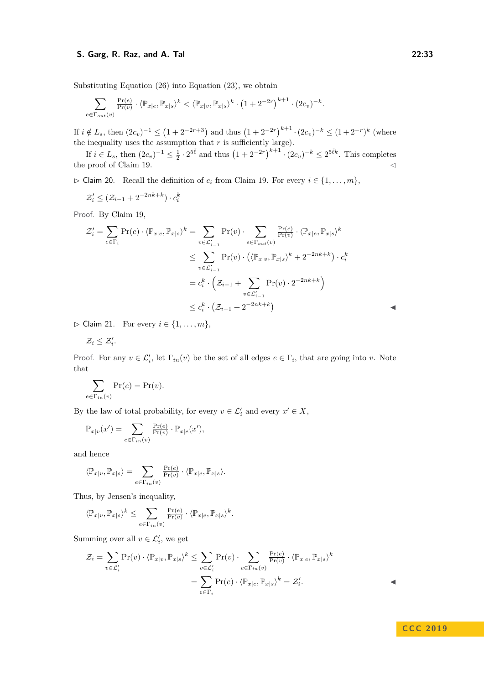Substituting Equation [\(26\)](#page-31-3) into Equation [\(23\)](#page-31-4), we obtain

$$
\sum_{e \in \Gamma_{out}(v)} \frac{\Pr(e)}{\Pr(v)} \cdot \langle \mathbb{P}_{x|e}, \mathbb{P}_{x|s} \rangle^k < \langle \mathbb{P}_{x|v}, \mathbb{P}_{x|s} \rangle^k \cdot \left(1 + 2^{-2r}\right)^{k+1} \cdot (2c_v)^{-k}.
$$

If  $i \notin L_s$ , then  $(2c_v)^{-1} \leq (1 + 2^{-2r+3})$  and thus  $(1 + 2^{-2r})^{k+1} \cdot (2c_v)^{-k} \leq (1 + 2^{-r})^k$  (where the inequality uses the assumption that  $r$  is sufficiently large).

If  $i \in L_s$ , then  $(2c_v)^{-1} \leq \frac{1}{2} \cdot 2^{5\tilde{\ell}}$  and thus  $(1 + 2^{-2r})^{k+1} \cdot (2c_v)^{-k} \leq 2^{5\tilde{\ell}k}$ . This completes the proof of Claim [19.](#page-29-0)  $\triangleleft$ 

<span id="page-32-0"></span> $\triangleright$  Claim 20. Recall the definition of  $c_i$  from Claim [19.](#page-29-0) For every  $i \in \{1, \ldots, m\}$ ,

$$
\mathcal{Z}'_i \leq (\mathcal{Z}_{i-1} + 2^{-2nk+k}) \cdot c_i^k
$$

Proof. By Claim [19,](#page-29-0)

$$
\mathcal{Z}'_i = \sum_{e \in \Gamma_i} \Pr(e) \cdot \langle \mathbb{P}_{x|e}, \mathbb{P}_{x|s} \rangle^k = \sum_{v \in \mathcal{L}'_{i-1}} \Pr(v) \cdot \sum_{e \in \Gamma_{out}(v)} \frac{\Pr(e)}{\Pr(v)} \cdot \langle \mathbb{P}_{x|e}, \mathbb{P}_{x|s} \rangle^k
$$
  
\n
$$
\leq \sum_{v \in \mathcal{L}'_{i-1}} \Pr(v) \cdot \left( \langle \mathbb{P}_{x|v}, \mathbb{P}_{x|s} \rangle^k + 2^{-2nk + k} \right) \cdot c_i^k
$$
  
\n
$$
= c_i^k \cdot \left( \mathcal{Z}_{i-1} + \sum_{v \in \mathcal{L}'_{i-1}} \Pr(v) \cdot 2^{-2nk + k} \right)
$$
  
\n
$$
\leq c_i^k \cdot \left( \mathcal{Z}_{i-1} + 2^{-2nk + k} \right)
$$

<span id="page-32-1"></span> $\triangleright$  Claim 21. For every  $i \in \{1, \ldots, m\},\$ 

$$
\mathcal{Z}_i \leq \mathcal{Z}'_i
$$

*.*

Proof. For any  $v \in \mathcal{L}'_i$ , let  $\Gamma_{in}(v)$  be the set of all edges  $e \in \Gamma_i$ , that are going into *v*. Note that

$$
\sum_{e \in \Gamma_{in}(v)} \Pr(e) = \Pr(v).
$$

By the law of total probability, for every  $v \in \mathcal{L}'_i$  and every  $x' \in X$ ,

$$
\mathbb{P}_{x|v}(x') = \sum_{e \in \Gamma_{in}(v)} \frac{\Pr(e)}{\Pr(v)} \cdot \mathbb{P}_{x|e}(x'),
$$

and hence

$$
\langle \mathbb{P}_{x|v}, \mathbb{P}_{x|s} \rangle = \sum_{e \in \Gamma_{in}(v)} \tfrac{\Pr(e)}{\Pr(v)} \cdot \langle \mathbb{P}_{x|e}, \mathbb{P}_{x|s} \rangle.
$$

Thus, by Jensen's inequality,

$$
\langle \mathbb{P}_{x|v},\mathbb{P}_{x|s}\rangle^k\leq \sum_{e\in \Gamma_{in}(v)}\tfrac{\Pr(e)}{\Pr(v)}\cdot \langle \mathbb{P}_{x|e},\mathbb{P}_{x|s}\rangle^k.
$$

Summing over all  $v \in \mathcal{L}'_i$ , we get

<span id="page-32-2"></span>
$$
\mathcal{Z}_i = \sum_{v \in \mathcal{L}'_i} \Pr(v) \cdot \langle \mathbb{P}_{x|v}, \mathbb{P}_{x|s} \rangle^k \le \sum_{v \in \mathcal{L}'_i} \Pr(v) \cdot \sum_{e \in \Gamma_{in}(v)} \frac{\Pr(e)}{\Pr(v)} \cdot \langle \mathbb{P}_{x|e}, \mathbb{P}_{x|s} \rangle^k
$$

$$
= \sum_{e \in \Gamma_i} \Pr(e) \cdot \langle \mathbb{P}_{x|e}, \mathbb{P}_{x|s} \rangle^k = \mathcal{Z}'_i.
$$

 $\blacktriangleleft$ 

**C C C 2 0 1 9**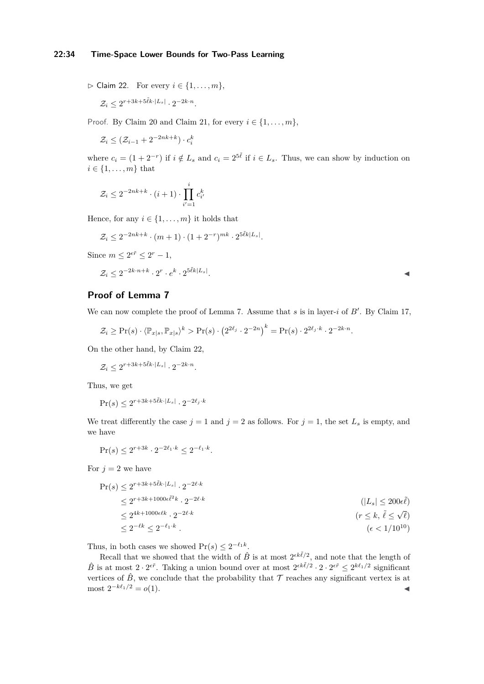$\triangleright$  Claim 22. For every  $i \in \{1, \ldots, m\},\$ 

$$
\mathcal{Z}_i \le 2^{r+3k+5\tilde{\ell}k \cdot |L_s|} \cdot 2^{-2k \cdot n}.
$$

Proof. By Claim [20](#page-32-0) and Claim [21,](#page-32-1) for every  $i \in \{1, \ldots, m\}$ ,

 $\mathcal{Z}_i \leq (\mathcal{Z}_{i-1} + 2^{-2nk+k}) \cdot c_i^k$ 

where  $c_i = (1 + 2^{-r})$  if  $i \notin L_s$  and  $c_i = 2^{5\tilde{\ell}}$  if  $i \in L_s$ . Thus, we can show by induction on  $i \in \{1, \ldots, m\}$  that

$$
\mathcal{Z}_i \le 2^{-2nk+k} \cdot (i+1) \cdot \prod_{i'=1}^i c_{i'}^k
$$

Hence, for any  $i \in \{1, \ldots, m\}$  it holds that

$$
\mathcal{Z}_i \le 2^{-2nk+k} \cdot (m+1) \cdot (1+2^{-r})^{mk} \cdot 2^{5\tilde{\ell}k|L_s|}.
$$

Since  $m \leq 2^{\epsilon \tilde{r}} \leq 2^r - 1$ ,

$$
\mathcal{Z}_i \leq 2^{-2k \cdot n + k} \cdot 2^r \cdot e^k \cdot 2^{5\tilde{\ell} k |L_s|}.
$$

*.* J

### **Proof of Lemma [7](#page-14-0)**

We can now complete the proof of Lemma [7.](#page-14-0) Assume that  $s$  is in layer- $i$  of  $B'$ . By Claim [17,](#page-29-1)

$$
\mathcal{Z}_i \geq \Pr(s) \cdot \langle \mathbb{P}_{x|s}, \mathbb{P}_{x|s} \rangle^k > \Pr(s) \cdot \left( 2^{2\ell_j} \cdot 2^{-2n} \right)^k = \Pr(s) \cdot 2^{2\ell_j \cdot k} \cdot 2^{-2k \cdot n}.
$$

On the other hand, by Claim [22,](#page-32-2)

 $\mathcal{Z}_i \leq 2^{r+3k+5\tilde{\ell}k \cdot |L_s|} \cdot 2^{-2k \cdot n}.$ 

Thus, we get

$$
\Pr(s) \le 2^{r+3k+5\tilde{\ell}k \cdot |L_s|} \cdot 2^{-2\ell_j \cdot k}
$$

We treat differently the case  $j = 1$  and  $j = 2$  as follows. For  $j = 1$ , the set  $L_s$  is empty, and we have

$$
\Pr(s) \le 2^{r+3k} \cdot 2^{-2\ell_1 \cdot k} \le 2^{-\ell_1 \cdot k}.
$$

For  $j = 2$  we have

$$
\Pr(s) \le 2^{r+3k+5\tilde{\ell}k \cdot |L_s|} \cdot 2^{-2\ell \cdot k} \n\le 2^{r+3k+1000\epsilon \tilde{\ell}^2 k} \cdot 2^{-2\ell \cdot k} \n\le 2^{4k+1000\epsilon \ell k} \cdot 2^{-2\ell \cdot k} \n\le 2^{-\ell k} \le 2^{-\ell_1 \cdot k} .
$$
\n(|L\_s| \le 200\epsilon \tilde{\ell})   
\n( $\epsilon < 1/10^{10}$ )

Thus, in both cases we showed  $Pr(s) \leq 2^{-\ell_1 k}$ .

Recall that we showed that the width of  $\hat{B}$  is at most  $2^{\epsilon k \tilde{\ell}/2}$ , and note that the length of  $\hat{B}$  is at most  $2 \cdot 2^{e\tilde{r}}$ . Taking a union bound over at most  $2^{e k \tilde{\ell}/2} \cdot 2 \cdot 2^{e \tilde{r}} \leq 2^{k\ell_1/2}$  significant vertices of  $\hat{B}$ , we conclude that the probability that  $\mathcal T$  reaches any significant vertex is at  $\text{most } 2^{-k\ell_1/2} = o(1).$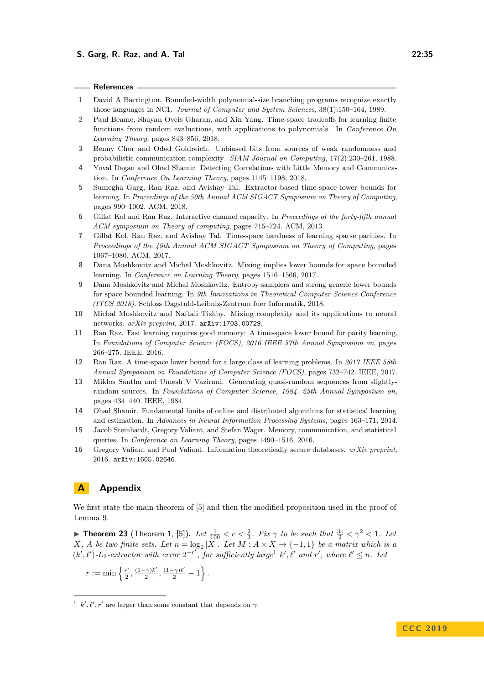#### **References**

- <span id="page-34-14"></span>**1** David A Barrington. Bounded-width polynomial-size branching programs recognize exactly those languages in NC1. *Journal of Computer and System Sciences*, 38(1):150–164, 1989.
- <span id="page-34-4"></span>**2** Paul Beame, Shayan Oveis Gharan, and Xin Yang. Time-space tradeoffs for learning finite functions from random evaluations, with applications to polynomials. In *Conference On Learning Theory*, pages 843–856, 2018.
- <span id="page-34-13"></span>**3** Benny Chor and Oded Goldreich. Unbiased bits from sources of weak randomness and probabilistic communication complexity. *SIAM Journal on Computing*, 17(2):230–261, 1988.
- <span id="page-34-11"></span>**4** Yuval Dagan and Ohad Shamir. Detecting Correlations with Little Memory and Communication. In *Conference On Learning Theory*, pages 1145–1198, 2018.
- <span id="page-34-5"></span>**5** Sumegha Garg, Ran Raz, and Avishay Tal. Extractor-based time-space lower bounds for learning. In *Proceedings of the 50th Annual ACM SIGACT Symposium on Theory of Computing*, pages 990–1002. ACM, 2018.
- <span id="page-34-15"></span>**6** Gillat Kol and Ran Raz. Interactive channel capacity. In *Proceedings of the forty-fifth annual ACM symposium on Theory of computing*, pages 715–724. ACM, 2013.
- <span id="page-34-1"></span>**7** Gillat Kol, Ran Raz, and Avishay Tal. Time-space hardness of learning sparse parities. In *Proceedings of the 49th Annual ACM SIGACT Symposium on Theory of Computing*, pages 1067–1080. ACM, 2017.
- <span id="page-34-9"></span>**8** Dana Moshkovitz and Michal Moshkovitz. Mixing implies lower bounds for space bounded learning. In *Conference on Learning Theory*, pages 1516–1566, 2017.
- <span id="page-34-3"></span>**9** Dana Moshkovitz and Michal Moshkovitz. Entropy samplers and strong generic lower bounds for space bounded learning. In *9th Innovations in Theoretical Computer Science Conference (ITCS 2018)*. Schloss Dagstuhl-Leibniz-Zentrum fuer Informatik, 2018.
- <span id="page-34-10"></span>**10** Michal Moshkovitz and Naftali Tishby. Mixing complexity and its applications to neural networks. *arXiv preprint*, 2017. [arXiv:1703.00729](http://arxiv.org/abs/1703.00729).
- <span id="page-34-0"></span>**11** Ran Raz. Fast learning requires good memory: A time-space lower bound for parity learning. In *Foundations of Computer Science (FOCS), 2016 IEEE 57th Annual Symposium on*, pages 266–275. IEEE, 2016.
- <span id="page-34-2"></span>**12** Ran Raz. A time-space lower bound for a large class of learning problems. In *2017 IEEE 58th Annual Symposium on Foundations of Computer Science (FOCS)*, pages 732–742. IEEE, 2017.
- <span id="page-34-12"></span>**13** Miklos Santha and Umesh V Vazirani. Generating quasi-random sequences from slightlyrandom sources. In *Foundations of Computer Science, 1984. 25th Annual Symposium on*, pages 434–440. IEEE, 1984.
- <span id="page-34-6"></span>**14** Ohad Shamir. Fundamental limits of online and distributed algorithms for statistical learning and estimation. In *Advances in Neural Information Processing Systems*, pages 163–171, 2014.
- <span id="page-34-7"></span>**15** Jacob Steinhardt, Gregory Valiant, and Stefan Wager. Memory, communication, and statistical queries. In *Conference on Learning Theory*, pages 1490–1516, 2016.
- <span id="page-34-8"></span>**16** Gregory Valiant and Paul Valiant. Information theoretically secure databases. *arXiv preprint*, 2016. [arXiv:1605.02646](http://arxiv.org/abs/1605.02646).

### **A Appendix**

We first state the main theorem of [\[5\]](#page-34-5) and then the modified proposition used in the proof of Lemma [9.](#page-15-1)

<span id="page-34-17"></span>▶ **Theorem 23** (Theorem 1, [\[5\]](#page-34-5)). Let  $\frac{1}{100} < c < \frac{2}{3}$ . Fix  $\gamma$  to be such that  $\frac{3c}{2} < \gamma^2 < 1$ . Let *X, A be two finite sets. Let*  $n = \log_2 |X|$ *. Let*  $M : A \times X \rightarrow \{-1, 1\}$  *be a matrix which is a*  $(k', \ell')$ - $L_2$ -extractor with error  $2^{-r'}$ , for sufficiently large<sup>[1](#page-34-16)</sup>  $k', \ell'$  and  $r'$ , where  $\ell' \leq n$ . Let

$$
r:=\min\left\{\tfrac{r'}{2},\tfrac{(1-\gamma)k'}{2},\tfrac{(1-\gamma)\ell'}{2}-1\right\}.
$$

<span id="page-34-16"></span><sup>&</sup>lt;sup>1</sup> *k'*,  $\ell'$ , *r'* are larger than some constant that depends on  $\gamma$ .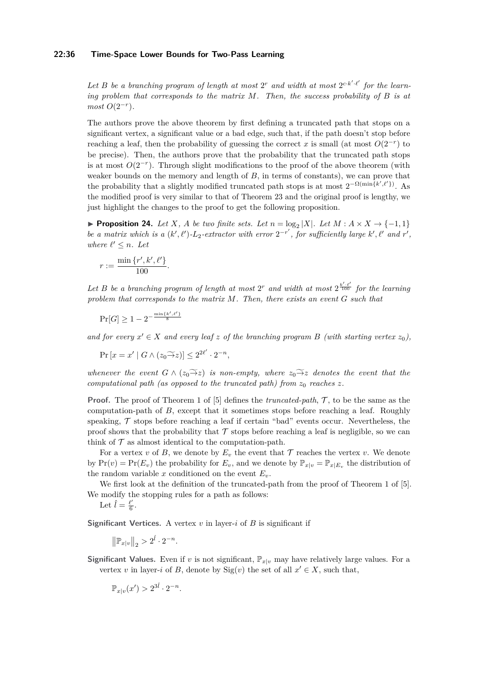#### **22:36 Time-Space Lower Bounds for Two-Pass Learning**

Let *B* be a branching program of length at most  $2^r$  and width at most  $2^{c \cdot k' \cdot \ell'}$  for the learn*ing problem that corresponds to the matrix M. Then, the success probability of B is at most*  $O(2^{-r})$ *.* 

The authors prove the above theorem by first defining a truncated path that stops on a significant vertex, a significant value or a bad edge, such that, if the path doesn't stop before reaching a leaf, then the probability of guessing the correct *x* is small (at most  $O(2^{-r})$  to be precise). Then, the authors prove that the probability that the truncated path stops is at most  $O(2^{-r})$ . Through slight modifications to the proof of the above theorem (with weaker bounds on the memory and length of *B*, in terms of constants), we can prove that the probability that a slightly modified truncated path stops is at most  $2^{-\Omega(\min\{k',\ell'\})}$ . As the modified proof is very similar to that of Theorem [23](#page-34-17) and the original proof is lengthy, we just highlight the changes to the proof to get the following proposition.

<span id="page-35-0"></span>▶ **Proposition 24.** *Let X*, *A be two finite sets. Let*  $n = \log_2 |X|$ *. Let*  $M : A \times X \rightarrow \{-1, 1\}$ *be a matrix which is a*  $(k', \ell')$ *-* $L_2$ *-extractor with error*  $2^{-r'}$ , for sufficiently large  $k', \ell'$  and  $r'$ , *where*  $\ell' \leq n$ *. Let* 

$$
r := \frac{\min\{r', k', \ell'\}}{100}.
$$

Let *B* be a branching program of length at most  $2^r$  and width at most  $2^{\frac{k'\cdot\ell'}{100}}$  for the learning *problem that corresponds to the matrix M. Then, there exists an event G such that*

$$
\Pr[G] \ge 1 - 2^{-\frac{\min\{k', \ell'\}}{8}}
$$

and for every  $x' \in X$  and every leaf  $z$  of the branching program  $B$  (with starting vertex  $z_0$ ),

$$
\Pr\left[x = x' \mid G \wedge (z_0 \widetilde{\to} z)\right] \le 2^{2\ell'} \cdot 2^{-n},
$$

*whenever the event*  $G \wedge (z_0 \rightarrow z)$  *is non-empty, where*  $z_0 \rightarrow z$  *denotes the event that the computational path (as opposed to the truncated path) from*  $z_0$  *reaches*  $z$ *.* 

**Proof.** The proof of Theorem 1 of [\[5\]](#page-34-5) defines the *truncated-path*, T, to be the same as the computation-path of *B*, except that it sometimes stops before reaching a leaf. Roughly speaking,  $\mathcal T$  stops before reaching a leaf if certain "bad" events occur. Nevertheless, the proof shows that the probability that  $\mathcal T$  stops before reaching a leaf is negligible, so we can think of  $\mathcal T$  as almost identical to the computation-path.

For a vertex *v* of *B*, we denote by  $E_v$  the event that  $\mathcal T$  reaches the vertex *v*. We denote by  $Pr(v) = Pr(E_v)$  the probability for  $E_v$ , and we denote by  $\mathbb{P}_{x|v} = \mathbb{P}_{x|E_v}$  the distribution of the random variable x conditioned on the event  $E_v$ .

We first look at the definition of the truncated-path from the proof of Theorem 1 of [\[5\]](#page-34-5). We modify the stopping rules for a path as follows:

Let 
$$
\hat{l} = \frac{\ell'}{6}
$$
.

**Significant Vertices.** A vertex  $v$  in layer- $i$  of  $B$  is significant if

$$
\left\|\mathbb{P}_{x|v}\right\|_2 > 2^{\hat{l}} \cdot 2^{-n}.
$$

**Significant Values.** Even if *v* is not significant,  $\mathbb{P}_{x|v}$  may have relatively large values. For a vertex *v* in layer-*i* of *B*, denote by  $\text{Sig}(v)$  the set of all  $x' \in X$ , such that,

$$
\mathbb{P}_{x|v}(x') > 2^{3\hat{l}} \cdot 2^{-n}.
$$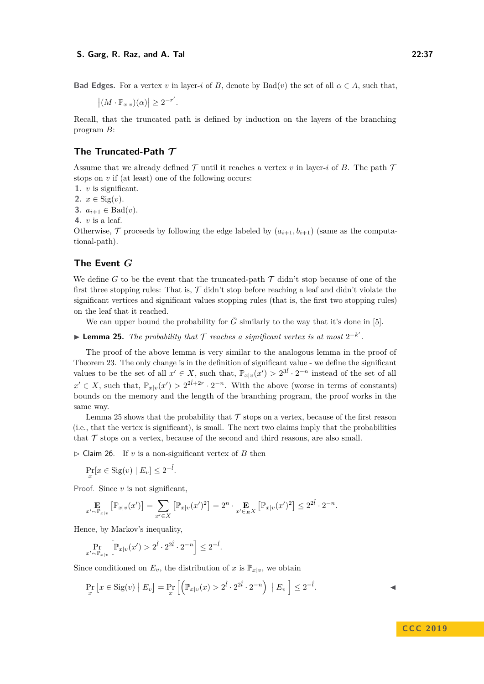**Bad Edges.** For a vertex *v* in layer-*i* of *B*, denote by  $Bad(v)$  the set of all  $\alpha \in A$ , such that,

 $|(M \cdot \mathbb{P}_{x|v})(\alpha)| \geq 2^{-r'}$ .

Recall, that the truncated path is defined by induction on the layers of the branching program *B*:

### **The Truncated-Path T**

Assume that we already defined  $\mathcal T$  until it reaches a vertex  $v$  in layer-*i* of *B*. The path  $\mathcal T$ stops on *v* if (at least) one of the following occurs:

**1.** *v* is significant.

**2.**  $x \in \text{Sig}(v)$ .

**3.**  $a_{i+1}$  ∈ Bad(*v*).

**4.** *v* is a leaf.

Otherwise,  $\mathcal T$  proceeds by following the edge labeled by  $(a_{i+1}, b_{i+1})$  (same as the computational-path).

### **The Event** *G*

We define *G* to be the event that the truncated-path  $\mathcal T$  didn't stop because of one of the first three stopping rules: That is,  $\mathcal{T}$  didn't stop before reaching a leaf and didn't violate the significant vertices and significant values stopping rules (that is, the first two stopping rules) on the leaf that it reached.

We can upper bound the probability for  $\overline{G}$  similarly to the way that it's done in [\[5\]](#page-34-5).

<span id="page-36-0"></span>**► Lemma 25.** *The probability that*  $\mathcal T$  *reaches a significant vertex is at most*  $2^{-k'}$ .

The proof of the above lemma is very similar to the analogous lemma in the proof of Theorem [23.](#page-34-17) The only change is in the definition of significant value - we define the significant values to be the set of all  $x' \in X$ , such that,  $\mathbb{P}_{x|v}(x') > 2^{3\hat{i}} \cdot 2^{-n}$  instead of the set of all  $x' \in X$ , such that,  $\mathbb{P}_{x|v}(x') > 2^{2\hat{i}+2r} \cdot 2^{-n}$ . With the above (worse in terms of constants) bounds on the memory and the length of the branching program, the proof works in the same way.

Lemma [25](#page-36-0) shows that the probability that  $\mathcal T$  stops on a vertex, because of the first reason (i.e., that the vertex is significant), is small. The next two claims imply that the probabilities that  $\mathcal T$  stops on a vertex, because of the second and third reasons, are also small.

<span id="page-36-1"></span> $\triangleright$  Claim 26. If *v* is a non-significant vertex of *B* then

$$
\Pr_x[x \in \text{Sig}(v) \mid E_v] \le 2^{-\hat{l}}.
$$

Proof. Since *v* is not significant,

$$
\mathop{\mathbf{E}}_{x'\sim \mathbb{P}_{x|v}}\left[\mathbb{P}_{x|v}(x')\right] = \sum_{x'\in X}\left[\mathbb{P}_{x|v}(x')^2\right] = 2^n\cdot \mathop{\mathbf{E}}_{x'\in_R X}\left[\mathbb{P}_{x|v}(x')^2\right] \leq 2^{2\hat{l}}\cdot 2^{-n}.
$$

Hence, by Markov's inequality,

$$
\Pr_{x' \sim \mathbb{P}_{x|v}} \left[ \mathbb{P}_{x|v}(x') > 2^{\hat{l}} \cdot 2^{2\hat{l}} \cdot 2^{-n} \right] \leq 2^{-\hat{l}}.
$$

Since conditioned on  $E_v$ , the distribution of x is  $\mathbb{P}_{x|v}$ , we obtain

<span id="page-36-2"></span>
$$
\Pr_x \left[ x \in \text{Sig}(v) \mid E_v \right] = \Pr_x \left[ \left( \mathbb{P}_{x|v}(x) > 2^{\hat{l}} \cdot 2^{2\hat{l}} \cdot 2^{-n} \right) \mid E_v \right] \le 2^{-\hat{l}}.
$$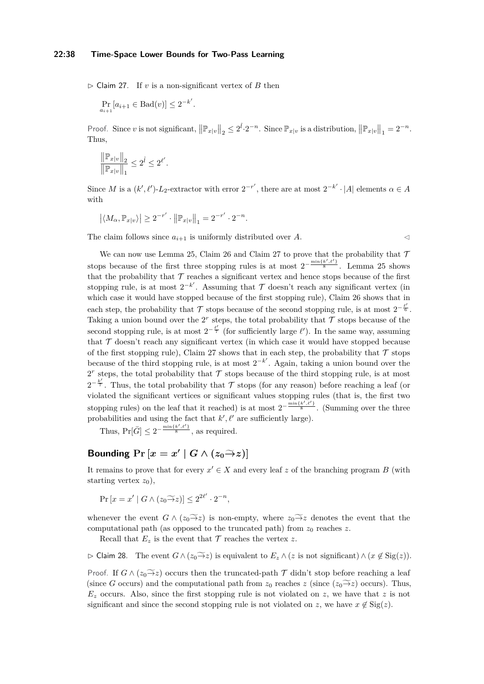#### **22:38 Time-Space Lower Bounds for Two-Pass Learning**

 $\triangleright$  Claim 27. If *v* is a non-significant vertex of *B* then

$$
\Pr_{a_{i+1}}[a_{i+1} \in \text{Bad}(v)] \le 2^{-k'}.
$$

Proof. Since *v* is not significant,  $||\mathbb{P}_{x|v}||_2 \leq 2^{\hat{l}} \cdot 2^{-n}$ . Since  $\mathbb{P}_{x|v}$  is a distribution,  $||\mathbb{P}_{x|v}||_1 = 2^{-n}$ . Thus,

$$
\frac{\|\mathbb{P}_{x|v}\|_2}{\|\mathbb{P}_{x|v}\|_1} \le 2^{\hat{l}} \le 2^{\ell'}.
$$

Since *M* is a  $(k', \ell')$ -*L*<sub>2</sub>-extractor with error  $2^{-r'}$ , there are at most  $2^{-k'} \cdot |A|$  elements  $\alpha \in A$ with

$$
\left|\langle M_\alpha,\mathbb{P}_{x|v}\rangle\right|\geq 2^{-r'}\cdot\left|\left|\mathbb{P}_{x|v}\right|\right|_1=2^{-r'}\cdot 2^{-n}.
$$

The claim follows since  $a_{i+1}$  is uniformly distributed over *A*.

We can now use Lemma [25,](#page-36-0) Claim [26](#page-36-1) and Claim [27](#page-36-2) to prove that the probability that  $\mathcal T$ stops because of the first three stopping rules is at most  $2^{-\frac{\min\{k',\ell'\}}{8}}$ . Lemma [25](#page-36-0) shows that the probability that  $\mathcal T$  reaches a significant vertex and hence stops because of the first stopping rule, is at most  $2^{-k'}$ . Assuming that  $\mathcal T$  doesn't reach any significant vertex (in which case it would have stopped because of the first stopping rule), Claim [26](#page-36-1) shows that in each step, the probability that  $\mathcal T$  stops because of the second stopping rule, is at most  $2^{-\frac{\ell'}{6}}$ . Taking a union bound over the  $2<sup>r</sup>$  steps, the total probability that  $\mathcal T$  stops because of the second stopping rule, is at most  $2^{-\frac{\ell'}{7}}$  (for sufficiently large  $\ell'$ ). In the same way, assuming that  $\mathcal T$  doesn't reach any significant vertex (in which case it would have stopped because of the first stopping rule), Claim [27](#page-36-2) shows that in each step, the probability that  $\mathcal T$  stops because of the third stopping rule, is at most  $2^{-k'}$ . Again, taking a union bound over the  $2<sup>r</sup>$  steps, the total probability that  $\mathcal T$  stops because of the third stopping rule, is at most  $2^{-\frac{k'}{7}}$ . Thus, the total probability that T stops (for any reason) before reaching a leaf (or violated the significant vertices or significant values stopping rules (that is, the first two stopping rules) on the leaf that it reached) is at most  $2^{-\frac{\min\{k',\ell'\}}{8}}$ . (Summing over the three probabilities and using the fact that  $k', \ell'$  are sufficiently large).

Thus,  $Pr[\bar{G}] \leq 2^{-\frac{\min\{k',\ell'\}}{8}}$ , as required.

# **Bounding**  $\Pr\left[x = x' \mid G \wedge (z_0 \rightarrow z)\right]$

It remains to prove that for every  $x' \in X$  and every leaf z of the branching program B (with starting vertex  $z_0$ ),

$$
\Pr\left[x = x' \mid G \wedge (z_0 \widetilde{\to} z)\right] \le 2^{2\ell'} \cdot 2^{-n},
$$

whenever the event  $G \wedge (z_0 \rightarrow z)$  is non-empty, where  $z_0 \rightarrow z$  denotes the event that the computational path (as opposed to the truncated path) from  $z_0$  reaches  $z$ .

Recall that  $E_z$  is the event that  $\mathcal T$  reaches the vertex  $z$ .

<span id="page-37-0"></span> $\triangleright$  Claim 28. The event *G* ∧ ( $z_0 \rightarrow z_2$ ) is equivalent to  $E_z \wedge (z$  is not significant)  $\wedge (x \notin \text{Sig}(z))$ .

Proof. If  $G \wedge (z_0 \widetilde{\rightarrow} z)$  occurs then the truncated-path  $\mathcal T$  didn't stop before reaching a leaf (since *G* occurs) and the computational path from  $z_0$  reaches  $z$  (since  $(z_0 \rightarrow z)$  occurs). Thus, *E<sup>z</sup>* occurs. Also, since the first stopping rule is not violated on *z*, we have that *z* is not significant and since the second stopping rule is not violated on *z*, we have  $x \notin \text{Sig}(z)$ .